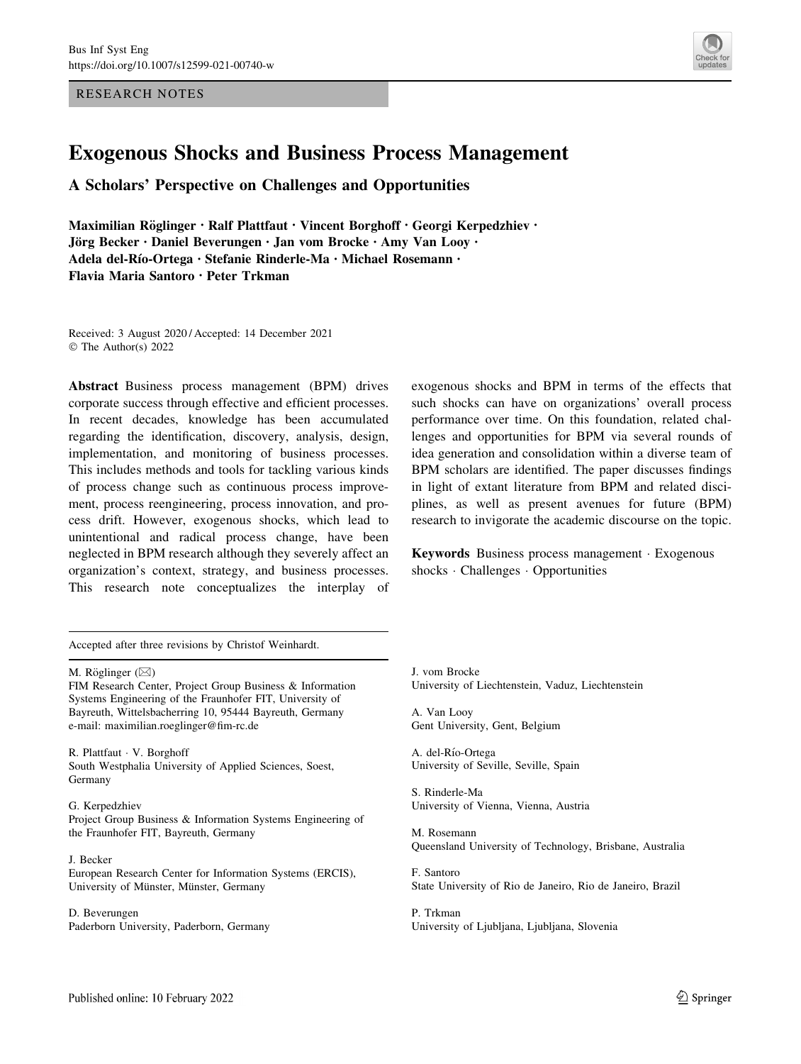RESEARCH NOTES



# Exogenous Shocks and Business Process Management

A Scholars' Perspective on Challenges and Opportunities

Maximilian Röglinger • Ralf Plattfaut • Vincent Borghoff • Georgi Kerpedzhiev • Jörg Becker · Daniel Beverungen · Jan vom Brocke · Amy Van Looy · Adela del-Rı´o-Ortega • Stefanie Rinderle-Ma • Michael Rosemann • Flavia Maria Santoro • Peter Trkman

Received: 3 August 2020 / Accepted: 14 December 2021 © The Author(s) 2022

Abstract Business process management (BPM) drives corporate success through effective and efficient processes. In recent decades, knowledge has been accumulated regarding the identification, discovery, analysis, design, implementation, and monitoring of business processes. This includes methods and tools for tackling various kinds of process change such as continuous process improvement, process reengineering, process innovation, and process drift. However, exogenous shocks, which lead to unintentional and radical process change, have been neglected in BPM research although they severely affect an organization's context, strategy, and business processes. This research note conceptualizes the interplay of

exogenous shocks and BPM in terms of the effects that such shocks can have on organizations' overall process performance over time. On this foundation, related challenges and opportunities for BPM via several rounds of idea generation and consolidation within a diverse team of BPM scholars are identified. The paper discusses findings in light of extant literature from BPM and related disciplines, as well as present avenues for future (BPM) research to invigorate the academic discourse on the topic.

Keywords Business process management - Exogenous shocks - Challenges - Opportunities

Accepted after three revisions by Christof Weinhardt.

M. Röglinger  $(\boxtimes)$ 

FIM Research Center, Project Group Business & Information Systems Engineering of the Fraunhofer FIT, University of Bayreuth, Wittelsbacherring 10, 95444 Bayreuth, Germany e-mail: maximilian.roeglinger@fim-rc.de

R. Plattfaut - V. Borghoff South Westphalia University of Applied Sciences, Soest, Germany

G. Kerpedzhiev Project Group Business & Information Systems Engineering of the Fraunhofer FIT, Bayreuth, Germany

J. Becker European Research Center for Information Systems (ERCIS), University of Münster, Münster, Germany

D. Beverungen Paderborn University, Paderborn, Germany J. vom Brocke University of Liechtenstein, Vaduz, Liechtenstein

A. Van Looy Gent University, Gent, Belgium

A. del-Rı´o-Ortega University of Seville, Seville, Spain

S. Rinderle-Ma University of Vienna, Vienna, Austria

M. Rosemann Queensland University of Technology, Brisbane, Australia

F. Santoro State University of Rio de Janeiro, Rio de Janeiro, Brazil

P. Trkman University of Ljubljana, Ljubljana, Slovenia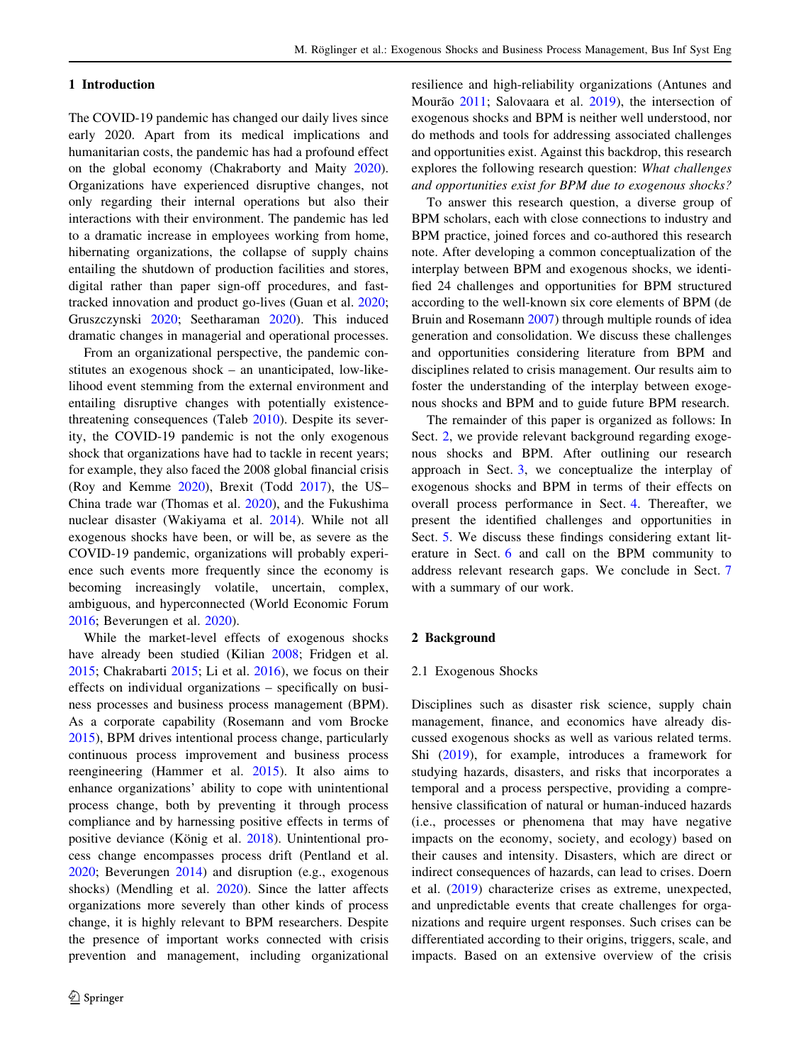#### <span id="page-1-0"></span>1 Introduction

The COVID-19 pandemic has changed our daily lives since early 2020. Apart from its medical implications and humanitarian costs, the pandemic has had a profound effect on the global economy (Chakraborty and Maity [2020](#page-15-0)). Organizations have experienced disruptive changes, not only regarding their internal operations but also their interactions with their environment. The pandemic has led to a dramatic increase in employees working from home, hibernating organizations, the collapse of supply chains entailing the shutdown of production facilities and stores, digital rather than paper sign-off procedures, and fasttracked innovation and product go-lives (Guan et al. [2020](#page-15-0); Gruszczynski [2020](#page-15-0); Seetharaman [2020](#page-17-0)). This induced dramatic changes in managerial and operational processes.

From an organizational perspective, the pandemic constitutes an exogenous shock – an unanticipated, low-likelihood event stemming from the external environment and entailing disruptive changes with potentially existence-threatening consequences (Taleb [2010](#page-17-0)). Despite its severity, the COVID-19 pandemic is not the only exogenous shock that organizations have had to tackle in recent years; for example, they also faced the 2008 global financial crisis (Roy and Kemme [2020\)](#page-16-0), Brexit (Todd [2017](#page-17-0)), the US– China trade war (Thomas et al. [2020](#page-17-0)), and the Fukushima nuclear disaster (Wakiyama et al. [2014\)](#page-17-0). While not all exogenous shocks have been, or will be, as severe as the COVID-19 pandemic, organizations will probably experience such events more frequently since the economy is becoming increasingly volatile, uncertain, complex, ambiguous, and hyperconnected (World Economic Forum [2016;](#page-18-0) Beverungen et al. [2020](#page-14-0)).

While the market-level effects of exogenous shocks have already been studied (Kilian [2008](#page-16-0); Fridgen et al. [2015;](#page-15-0) Chakrabarti [2015](#page-15-0); Li et al. [2016\)](#page-16-0), we focus on their effects on individual organizations – specifically on business processes and business process management (BPM). As a corporate capability (Rosemann and vom Brocke [2015\)](#page-16-0), BPM drives intentional process change, particularly continuous process improvement and business process reengineering (Hammer et al. [2015\)](#page-15-0). It also aims to enhance organizations' ability to cope with unintentional process change, both by preventing it through process compliance and by harnessing positive effects in terms of positive deviance (König et al. [2018\)](#page-16-0). Unintentional process change encompasses process drift (Pentland et al. [2020;](#page-16-0) Beverungen [2014\)](#page-14-0) and disruption (e.g., exogenous shocks) (Mendling et al. [2020](#page-16-0)). Since the latter affects organizations more severely than other kinds of process change, it is highly relevant to BPM researchers. Despite the presence of important works connected with crisis prevention and management, including organizational resilience and high-reliability organizations (Antunes and Mourão [2011;](#page-14-0) Salovaara et al. [2019](#page-17-0)), the intersection of exogenous shocks and BPM is neither well understood, nor do methods and tools for addressing associated challenges and opportunities exist. Against this backdrop, this research explores the following research question: What challenges and opportunities exist for BPM due to exogenous shocks?

To answer this research question, a diverse group of BPM scholars, each with close connections to industry and BPM practice, joined forces and co-authored this research note. After developing a common conceptualization of the interplay between BPM and exogenous shocks, we identified 24 challenges and opportunities for BPM structured according to the well-known six core elements of BPM (de Bruin and Rosemann [2007](#page-14-0)) through multiple rounds of idea generation and consolidation. We discuss these challenges and opportunities considering literature from BPM and disciplines related to crisis management. Our results aim to foster the understanding of the interplay between exogenous shocks and BPM and to guide future BPM research.

The remainder of this paper is organized as follows: In Sect. 2, we provide relevant background regarding exogenous shocks and BPM. After outlining our research approach in Sect. [3](#page-4-0), we conceptualize the interplay of exogenous shocks and BPM in terms of their effects on overall process performance in Sect. [4](#page-5-0). Thereafter, we present the identified challenges and opportunities in Sect. [5](#page-7-0). We discuss these findings considering extant literature in Sect. [6](#page-11-0) and call on the BPM community to address relevant research gaps. We conclude in Sect. [7](#page-13-0) with a summary of our work.

### 2 Background

#### 2.1 Exogenous Shocks

Disciplines such as disaster risk science, supply chain management, finance, and economics have already discussed exogenous shocks as well as various related terms. Shi [\(2019](#page-17-0)), for example, introduces a framework for studying hazards, disasters, and risks that incorporates a temporal and a process perspective, providing a comprehensive classification of natural or human-induced hazards (i.e., processes or phenomena that may have negative impacts on the economy, society, and ecology) based on their causes and intensity. Disasters, which are direct or indirect consequences of hazards, can lead to crises. Doern et al. ([2019\)](#page-15-0) characterize crises as extreme, unexpected, and unpredictable events that create challenges for organizations and require urgent responses. Such crises can be differentiated according to their origins, triggers, scale, and impacts. Based on an extensive overview of the crisis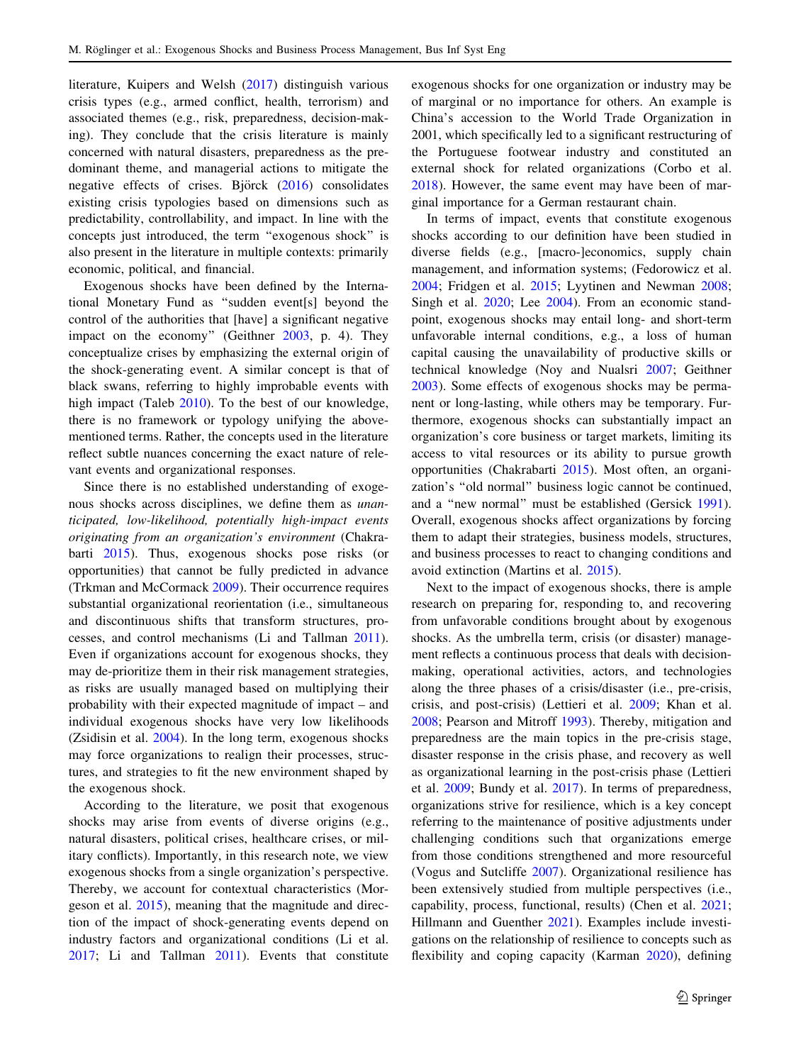literature, Kuipers and Welsh [\(2017](#page-16-0)) distinguish various crisis types (e.g., armed conflict, health, terrorism) and associated themes (e.g., risk, preparedness, decision-making). They conclude that the crisis literature is mainly concerned with natural disasters, preparedness as the predominant theme, and managerial actions to mitigate the negative effects of crises. Björck  $(2016)$  $(2016)$  consolidates existing crisis typologies based on dimensions such as predictability, controllability, and impact. In line with the concepts just introduced, the term ''exogenous shock'' is also present in the literature in multiple contexts: primarily economic, political, and financial.

Exogenous shocks have been defined by the International Monetary Fund as ''sudden event[s] beyond the control of the authorities that [have] a significant negative impact on the economy'' (Geithner [2003](#page-15-0), p. 4). They conceptualize crises by emphasizing the external origin of the shock-generating event. A similar concept is that of black swans, referring to highly improbable events with high impact (Taleb [2010](#page-17-0)). To the best of our knowledge, there is no framework or typology unifying the abovementioned terms. Rather, the concepts used in the literature reflect subtle nuances concerning the exact nature of relevant events and organizational responses.

Since there is no established understanding of exogenous shocks across disciplines, we define them as unanticipated, low-likelihood, potentially high-impact events originating from an organization's environment (Chakrabarti [2015\)](#page-15-0). Thus, exogenous shocks pose risks (or opportunities) that cannot be fully predicted in advance (Trkman and McCormack [2009\)](#page-17-0). Their occurrence requires substantial organizational reorientation (i.e., simultaneous and discontinuous shifts that transform structures, processes, and control mechanisms (Li and Tallman [2011](#page-16-0)). Even if organizations account for exogenous shocks, they may de-prioritize them in their risk management strategies, as risks are usually managed based on multiplying their probability with their expected magnitude of impact – and individual exogenous shocks have very low likelihoods (Zsidisin et al. [2004\)](#page-18-0). In the long term, exogenous shocks may force organizations to realign their processes, structures, and strategies to fit the new environment shaped by the exogenous shock.

According to the literature, we posit that exogenous shocks may arise from events of diverse origins (e.g., natural disasters, political crises, healthcare crises, or military conflicts). Importantly, in this research note, we view exogenous shocks from a single organization's perspective. Thereby, we account for contextual characteristics (Morgeson et al. [2015](#page-16-0)), meaning that the magnitude and direction of the impact of shock-generating events depend on industry factors and organizational conditions (Li et al. [2017;](#page-16-0) Li and Tallman [2011](#page-16-0)). Events that constitute exogenous shocks for one organization or industry may be of marginal or no importance for others. An example is China's accession to the World Trade Organization in 2001, which specifically led to a significant restructuring of the Portuguese footwear industry and constituted an external shock for related organizations (Corbo et al. [2018](#page-15-0)). However, the same event may have been of marginal importance for a German restaurant chain.

In terms of impact, events that constitute exogenous shocks according to our definition have been studied in diverse fields (e.g., [macro-]economics, supply chain management, and information systems; (Fedorowicz et al. [2004](#page-15-0); Fridgen et al. [2015](#page-15-0); Lyytinen and Newman [2008](#page-16-0); Singh et al. [2020;](#page-17-0) Lee [2004](#page-16-0)). From an economic standpoint, exogenous shocks may entail long- and short-term unfavorable internal conditions, e.g., a loss of human capital causing the unavailability of productive skills or technical knowledge (Noy and Nualsri [2007](#page-16-0); Geithner [2003](#page-15-0)). Some effects of exogenous shocks may be permanent or long-lasting, while others may be temporary. Furthermore, exogenous shocks can substantially impact an organization's core business or target markets, limiting its access to vital resources or its ability to pursue growth opportunities (Chakrabarti [2015\)](#page-15-0). Most often, an organization's ''old normal'' business logic cannot be continued, and a ''new normal'' must be established (Gersick [1991](#page-15-0)). Overall, exogenous shocks affect organizations by forcing them to adapt their strategies, business models, structures, and business processes to react to changing conditions and avoid extinction (Martins et al. [2015\)](#page-16-0).

Next to the impact of exogenous shocks, there is ample research on preparing for, responding to, and recovering from unfavorable conditions brought about by exogenous shocks. As the umbrella term, crisis (or disaster) management reflects a continuous process that deals with decisionmaking, operational activities, actors, and technologies along the three phases of a crisis/disaster (i.e., pre-crisis, crisis, and post-crisis) (Lettieri et al. [2009](#page-16-0); Khan et al. [2008](#page-15-0); Pearson and Mitroff [1993](#page-16-0)). Thereby, mitigation and preparedness are the main topics in the pre-crisis stage, disaster response in the crisis phase, and recovery as well as organizational learning in the post-crisis phase (Lettieri et al. [2009](#page-16-0); Bundy et al. [2017\)](#page-14-0). In terms of preparedness, organizations strive for resilience, which is a key concept referring to the maintenance of positive adjustments under challenging conditions such that organizations emerge from those conditions strengthened and more resourceful (Vogus and Sutcliffe [2007\)](#page-17-0). Organizational resilience has been extensively studied from multiple perspectives (i.e., capability, process, functional, results) (Chen et al. [2021](#page-15-0); Hillmann and Guenther [2021](#page-15-0)). Examples include investigations on the relationship of resilience to concepts such as flexibility and coping capacity (Karman [2020\)](#page-15-0), defining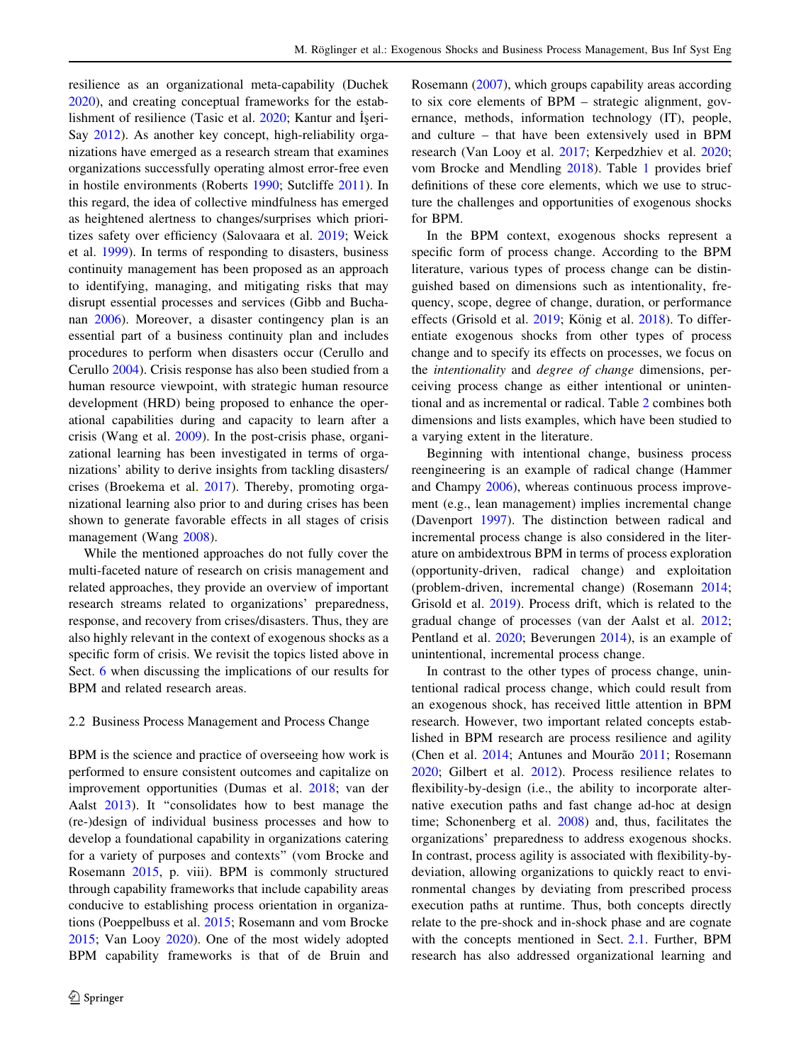resilience as an organizational meta-capability (Duchek [2020\)](#page-15-0), and creating conceptual frameworks for the establishment of resilience (Tasic et al.  $2020$ ; Kantur and Iseri-Say [2012\)](#page-15-0). As another key concept, high-reliability organizations have emerged as a research stream that examines organizations successfully operating almost error-free even in hostile environments (Roberts [1990;](#page-16-0) Sutcliffe [2011\)](#page-17-0). In this regard, the idea of collective mindfulness has emerged as heightened alertness to changes/surprises which prioritizes safety over efficiency (Salovaara et al. [2019](#page-17-0); Weick et al. [1999](#page-18-0)). In terms of responding to disasters, business continuity management has been proposed as an approach to identifying, managing, and mitigating risks that may disrupt essential processes and services (Gibb and Buchanan [2006](#page-15-0)). Moreover, a disaster contingency plan is an essential part of a business continuity plan and includes procedures to perform when disasters occur (Cerullo and Cerullo [2004\)](#page-15-0). Crisis response has also been studied from a human resource viewpoint, with strategic human resource development (HRD) being proposed to enhance the operational capabilities during and capacity to learn after a crisis (Wang et al. [2009](#page-18-0)). In the post-crisis phase, organizational learning has been investigated in terms of organizations' ability to derive insights from tackling disasters/ crises (Broekema et al. [2017](#page-14-0)). Thereby, promoting organizational learning also prior to and during crises has been shown to generate favorable effects in all stages of crisis management (Wang [2008](#page-18-0)).

While the mentioned approaches do not fully cover the multi-faceted nature of research on crisis management and related approaches, they provide an overview of important research streams related to organizations' preparedness, response, and recovery from crises/disasters. Thus, they are also highly relevant in the context of exogenous shocks as a specific form of crisis. We revisit the topics listed above in Sect. [6](#page-11-0) when discussing the implications of our results for BPM and related research areas.

#### 2.2 Business Process Management and Process Change

BPM is the science and practice of overseeing how work is performed to ensure consistent outcomes and capitalize on improvement opportunities (Dumas et al. [2018;](#page-15-0) van der Aalst [2013\)](#page-17-0). It ''consolidates how to best manage the (re-)design of individual business processes and how to develop a foundational capability in organizations catering for a variety of purposes and contexts'' (vom Brocke and Rosemann [2015](#page-17-0), p. viii). BPM is commonly structured through capability frameworks that include capability areas conducive to establishing process orientation in organizations (Poeppelbuss et al. [2015;](#page-16-0) Rosemann and vom Brocke [2015;](#page-16-0) Van Looy [2020\)](#page-17-0). One of the most widely adopted BPM capability frameworks is that of de Bruin and Rosemann [\(2007](#page-14-0)), which groups capability areas according to six core elements of BPM – strategic alignment, governance, methods, information technology (IT), people, and culture – that have been extensively used in BPM research (Van Looy et al. [2017;](#page-17-0) Kerpedzhiev et al. [2020](#page-15-0); vom Brocke and Mendling [2018\)](#page-17-0). Table [1](#page-4-0) provides brief definitions of these core elements, which we use to structure the challenges and opportunities of exogenous shocks for BPM.

In the BPM context, exogenous shocks represent a specific form of process change. According to the BPM literature, various types of process change can be distinguished based on dimensions such as intentionality, frequency, scope, degree of change, duration, or performance effects (Grisold et al. [2019;](#page-15-0) König et al. [2018\)](#page-16-0). To differentiate exogenous shocks from other types of process change and to specify its effects on processes, we focus on the intentionality and degree of change dimensions, perceiving process change as either intentional or unintentional and as incremental or radical. Table [2](#page-4-0) combines both dimensions and lists examples, which have been studied to a varying extent in the literature.

Beginning with intentional change, business process reengineering is an example of radical change (Hammer and Champy [2006](#page-15-0)), whereas continuous process improvement (e.g., lean management) implies incremental change (Davenport [1997](#page-15-0)). The distinction between radical and incremental process change is also considered in the literature on ambidextrous BPM in terms of process exploration (opportunity-driven, radical change) and exploitation (problem-driven, incremental change) (Rosemann [2014](#page-16-0); Grisold et al. [2019](#page-15-0)). Process drift, which is related to the gradual change of processes (van der Aalst et al. [2012](#page-17-0); Pentland et al. [2020](#page-16-0); Beverungen [2014](#page-14-0)), is an example of unintentional, incremental process change.

In contrast to the other types of process change, unintentional radical process change, which could result from an exogenous shock, has received little attention in BPM research. However, two important related concepts established in BPM research are process resilience and agility (Chen et al.  $2014$ ; Antunes and Mourão  $2011$ ; Rosemann [2020](#page-16-0); Gilbert et al. [2012\)](#page-15-0). Process resilience relates to flexibility-by-design (i.e., the ability to incorporate alternative execution paths and fast change ad-hoc at design time; Schonenberg et al. [2008\)](#page-17-0) and, thus, facilitates the organizations' preparedness to address exogenous shocks. In contrast, process agility is associated with flexibility-bydeviation, allowing organizations to quickly react to environmental changes by deviating from prescribed process execution paths at runtime. Thus, both concepts directly relate to the pre-shock and in-shock phase and are cognate with the concepts mentioned in Sect. [2.1.](#page-1-0) Further, BPM research has also addressed organizational learning and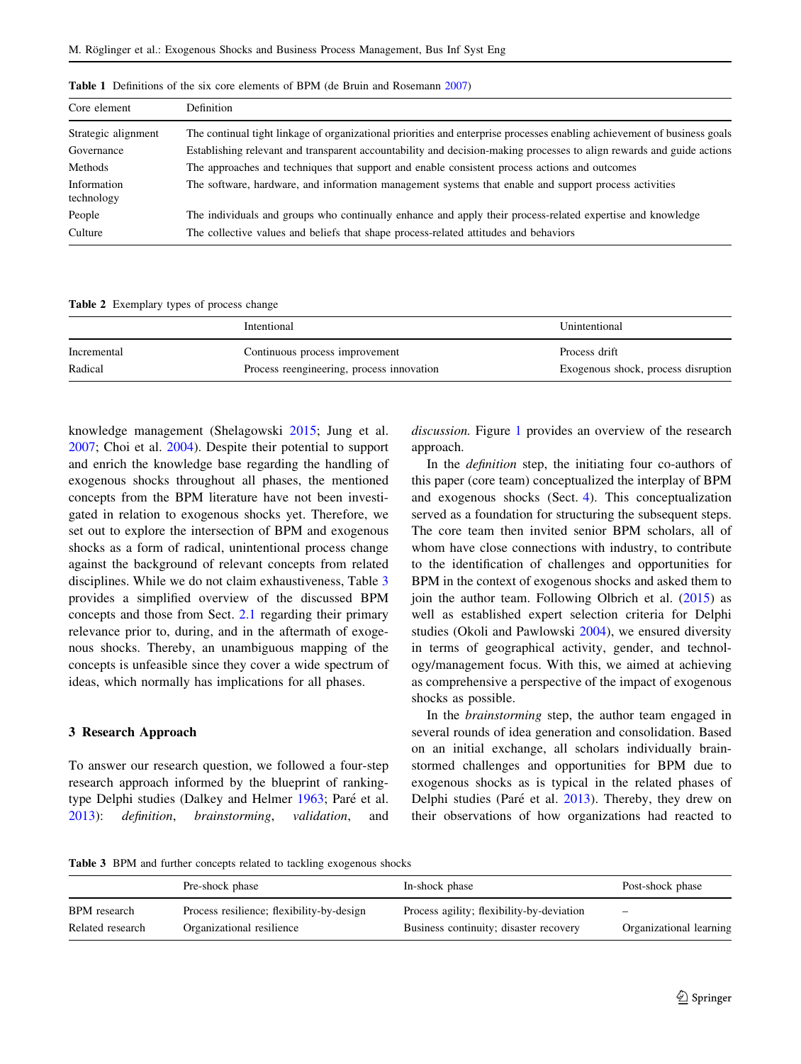| Core element              | Definition                                                                                                               |
|---------------------------|--------------------------------------------------------------------------------------------------------------------------|
| Strategic alignment       | The continual tight linkage of organizational priorities and enterprise processes enabling achievement of business goals |
| Governance                | Establishing relevant and transparent accountability and decision-making processes to align rewards and guide actions    |
| Methods                   | The approaches and techniques that support and enable consistent process actions and outcomes                            |
| Information<br>technology | The software, hardware, and information management systems that enable and support process activities                    |
| People                    | The individuals and groups who continually enhance and apply their process-related expertise and knowledge               |
| Culture                   | The collective values and beliefs that shape process-related attitudes and behaviors                                     |

<span id="page-4-0"></span>Table 1 Definitions of the six core elements of BPM (de Bruin and Rosemann [2007\)](#page-14-0)

Table 2 Exemplary types of process change

|             | Intentional                               | Unintentional                       |
|-------------|-------------------------------------------|-------------------------------------|
| Incremental | Continuous process improvement            | Process drift                       |
| Radical     | Process reengineering, process innovation | Exogenous shock, process disruption |

knowledge management (Shelagowski [2015;](#page-17-0) Jung et al. [2007;](#page-15-0) Choi et al. [2004](#page-15-0)). Despite their potential to support and enrich the knowledge base regarding the handling of exogenous shocks throughout all phases, the mentioned concepts from the BPM literature have not been investigated in relation to exogenous shocks yet. Therefore, we set out to explore the intersection of BPM and exogenous shocks as a form of radical, unintentional process change against the background of relevant concepts from related disciplines. While we do not claim exhaustiveness, Table 3 provides a simplified overview of the discussed BPM concepts and those from Sect. [2.1](#page-1-0) regarding their primary relevance prior to, during, and in the aftermath of exogenous shocks. Thereby, an unambiguous mapping of the concepts is unfeasible since they cover a wide spectrum of ideas, which normally has implications for all phases.

### 3 Research Approach

To answer our research question, we followed a four-step research approach informed by the blueprint of ranking-type Delphi studies (Dalkey and Helmer [1963](#page-15-0); Paré et al. [2013\)](#page-16-0): definition, brainstorming, validation, and discussion. Figure [1](#page-5-0) provides an overview of the research approach.

In the *definition* step, the initiating four co-authors of this paper (core team) conceptualized the interplay of BPM and exogenous shocks (Sect. [4\)](#page-5-0). This conceptualization served as a foundation for structuring the subsequent steps. The core team then invited senior BPM scholars, all of whom have close connections with industry, to contribute to the identification of challenges and opportunities for BPM in the context of exogenous shocks and asked them to join the author team. Following Olbrich et al.  $(2015)$  $(2015)$  as well as established expert selection criteria for Delphi studies (Okoli and Pawlowski [2004](#page-16-0)), we ensured diversity in terms of geographical activity, gender, and technology/management focus. With this, we aimed at achieving as comprehensive a perspective of the impact of exogenous shocks as possible.

In the brainstorming step, the author team engaged in several rounds of idea generation and consolidation. Based on an initial exchange, all scholars individually brainstormed challenges and opportunities for BPM due to exogenous shocks as is typical in the related phases of Delphi studies (Paré et al. [2013](#page-16-0)). Thereby, they drew on their observations of how organizations had reacted to

Table 3 BPM and further concepts related to tackling exogenous shocks

|                     | Pre-shock phase                           | In-shock phase                            | Post-shock phase        |
|---------------------|-------------------------------------------|-------------------------------------------|-------------------------|
| <b>BPM</b> research | Process resilience; flexibility-by-design | Process agility; flexibility-by-deviation | $\qquad \qquad$         |
| Related research    | Organizational resilience                 | Business continuity; disaster recovery    | Organizational learning |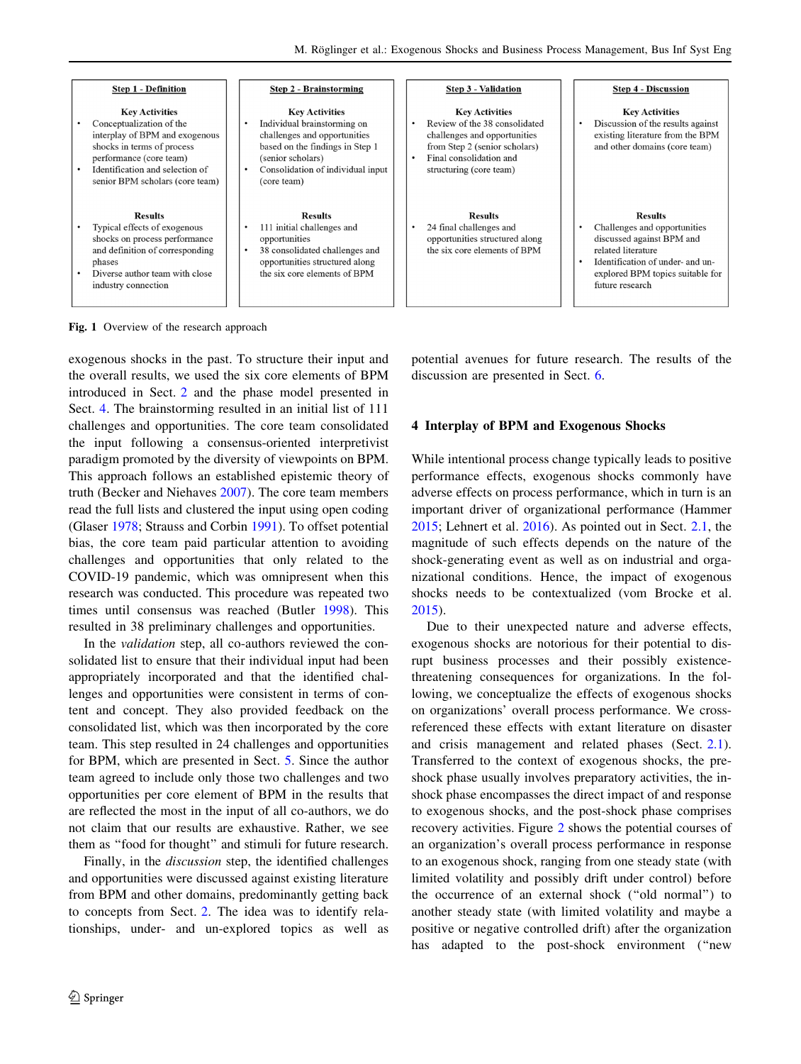<span id="page-5-0"></span>

Fig. 1 Overview of the research approach

exogenous shocks in the past. To structure their input and the overall results, we used the six core elements of BPM introduced in Sect. [2](#page-1-0) and the phase model presented in Sect. 4. The brainstorming resulted in an initial list of 111 challenges and opportunities. The core team consolidated the input following a consensus-oriented interpretivist paradigm promoted by the diversity of viewpoints on BPM. This approach follows an established epistemic theory of truth (Becker and Niehaves [2007\)](#page-14-0). The core team members read the full lists and clustered the input using open coding (Glaser [1978;](#page-15-0) Strauss and Corbin [1991\)](#page-17-0). To offset potential bias, the core team paid particular attention to avoiding challenges and opportunities that only related to the COVID-19 pandemic, which was omnipresent when this research was conducted. This procedure was repeated two times until consensus was reached (Butler [1998\)](#page-15-0). This resulted in 38 preliminary challenges and opportunities.

In the validation step, all co-authors reviewed the consolidated list to ensure that their individual input had been appropriately incorporated and that the identified challenges and opportunities were consistent in terms of content and concept. They also provided feedback on the consolidated list, which was then incorporated by the core team. This step resulted in 24 challenges and opportunities for BPM, which are presented in Sect. [5.](#page-7-0) Since the author team agreed to include only those two challenges and two opportunities per core element of BPM in the results that are reflected the most in the input of all co-authors, we do not claim that our results are exhaustive. Rather, we see them as ''food for thought'' and stimuli for future research.

Finally, in the *discussion* step, the identified challenges and opportunities were discussed against existing literature from BPM and other domains, predominantly getting back to concepts from Sect. [2.](#page-1-0) The idea was to identify relationships, under- and un-explored topics as well as potential avenues for future research. The results of the discussion are presented in Sect. [6](#page-11-0).

### 4 Interplay of BPM and Exogenous Shocks

While intentional process change typically leads to positive performance effects, exogenous shocks commonly have adverse effects on process performance, which in turn is an important driver of organizational performance (Hammer [2015](#page-15-0); Lehnert et al. [2016\)](#page-16-0). As pointed out in Sect. [2.1,](#page-1-0) the magnitude of such effects depends on the nature of the shock-generating event as well as on industrial and organizational conditions. Hence, the impact of exogenous shocks needs to be contextualized (vom Brocke et al. [2015](#page-17-0)).

Due to their unexpected nature and adverse effects, exogenous shocks are notorious for their potential to disrupt business processes and their possibly existencethreatening consequences for organizations. In the following, we conceptualize the effects of exogenous shocks on organizations' overall process performance. We crossreferenced these effects with extant literature on disaster and crisis management and related phases (Sect. [2.1](#page-1-0)). Transferred to the context of exogenous shocks, the preshock phase usually involves preparatory activities, the inshock phase encompasses the direct impact of and response to exogenous shocks, and the post-shock phase comprises recovery activities. Figure [2](#page-6-0) shows the potential courses of an organization's overall process performance in response to an exogenous shock, ranging from one steady state (with limited volatility and possibly drift under control) before the occurrence of an external shock (''old normal'') to another steady state (with limited volatility and maybe a positive or negative controlled drift) after the organization has adapted to the post-shock environment ("new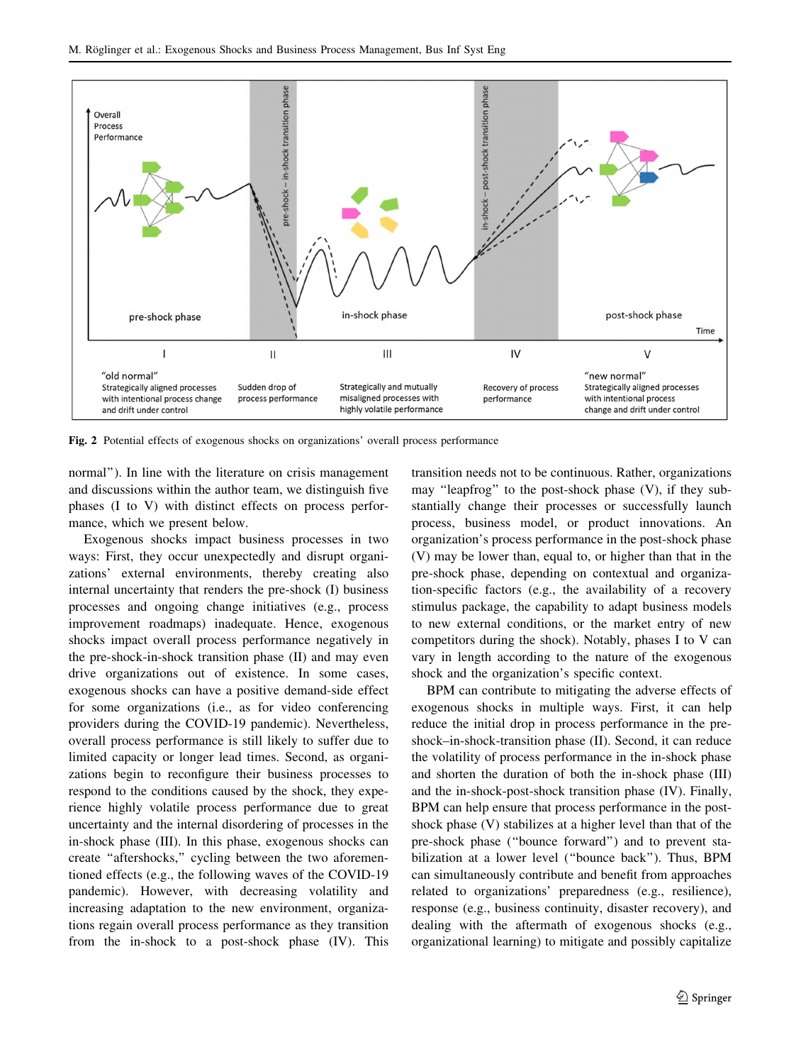<span id="page-6-0"></span>

Fig. 2 Potential effects of exogenous shocks on organizations' overall process performance

normal''). In line with the literature on crisis management and discussions within the author team, we distinguish five phases (I to V) with distinct effects on process performance, which we present below.

Exogenous shocks impact business processes in two ways: First, they occur unexpectedly and disrupt organizations' external environments, thereby creating also internal uncertainty that renders the pre-shock (I) business processes and ongoing change initiatives (e.g., process improvement roadmaps) inadequate. Hence, exogenous shocks impact overall process performance negatively in the pre-shock-in-shock transition phase (II) and may even drive organizations out of existence. In some cases, exogenous shocks can have a positive demand-side effect for some organizations (i.e., as for video conferencing providers during the COVID-19 pandemic). Nevertheless, overall process performance is still likely to suffer due to limited capacity or longer lead times. Second, as organizations begin to reconfigure their business processes to respond to the conditions caused by the shock, they experience highly volatile process performance due to great uncertainty and the internal disordering of processes in the in-shock phase (III). In this phase, exogenous shocks can create ''aftershocks,'' cycling between the two aforementioned effects (e.g., the following waves of the COVID-19 pandemic). However, with decreasing volatility and increasing adaptation to the new environment, organizations regain overall process performance as they transition from the in-shock to a post-shock phase (IV). This transition needs not to be continuous. Rather, organizations may ''leapfrog'' to the post-shock phase (V), if they substantially change their processes or successfully launch process, business model, or product innovations. An organization's process performance in the post-shock phase (V) may be lower than, equal to, or higher than that in the pre-shock phase, depending on contextual and organization-specific factors (e.g., the availability of a recovery stimulus package, the capability to adapt business models to new external conditions, or the market entry of new competitors during the shock). Notably, phases I to V can vary in length according to the nature of the exogenous shock and the organization's specific context.

BPM can contribute to mitigating the adverse effects of exogenous shocks in multiple ways. First, it can help reduce the initial drop in process performance in the preshock–in-shock-transition phase (II). Second, it can reduce the volatility of process performance in the in-shock phase and shorten the duration of both the in-shock phase (III) and the in-shock-post-shock transition phase (IV). Finally, BPM can help ensure that process performance in the postshock phase (V) stabilizes at a higher level than that of the pre-shock phase (''bounce forward'') and to prevent stabilization at a lower level (''bounce back''). Thus, BPM can simultaneously contribute and benefit from approaches related to organizations' preparedness (e.g., resilience), response (e.g., business continuity, disaster recovery), and dealing with the aftermath of exogenous shocks (e.g., organizational learning) to mitigate and possibly capitalize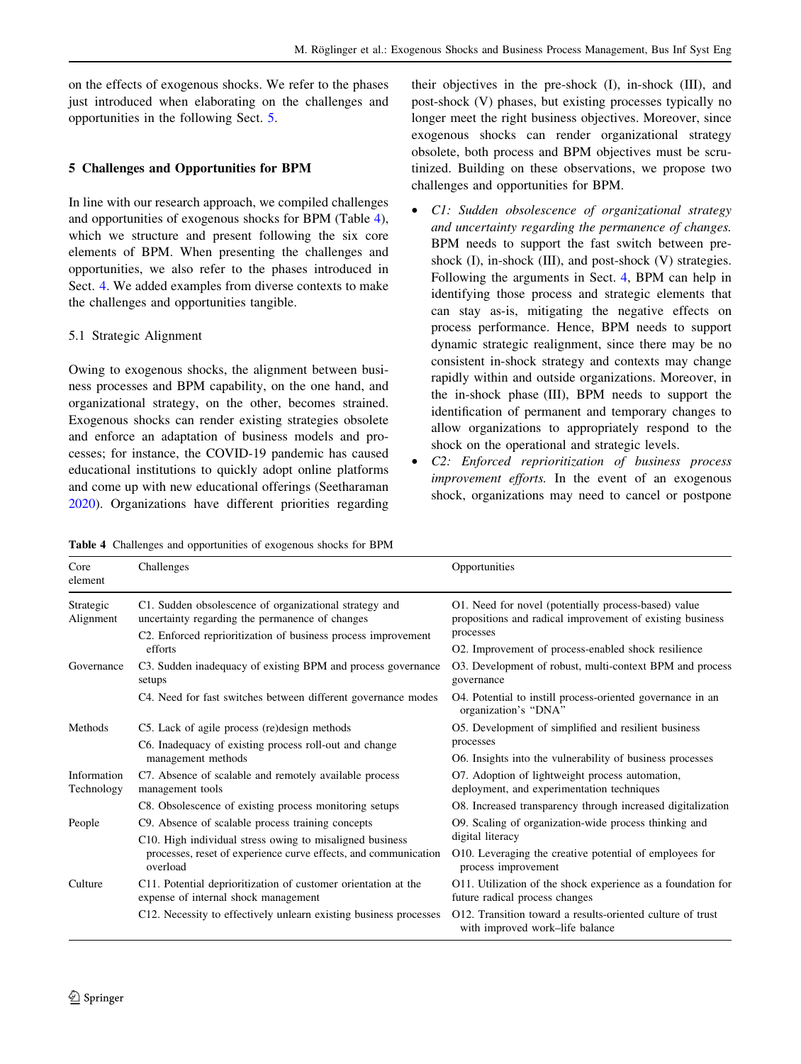<span id="page-7-0"></span>on the effects of exogenous shocks. We refer to the phases just introduced when elaborating on the challenges and opportunities in the following Sect. 5.

### 5 Challenges and Opportunities for BPM

In line with our research approach, we compiled challenges and opportunities of exogenous shocks for BPM (Table 4), which we structure and present following the six core elements of BPM. When presenting the challenges and opportunities, we also refer to the phases introduced in Sect. [4](#page-5-0). We added examples from diverse contexts to make the challenges and opportunities tangible.

### 5.1 Strategic Alignment

Owing to exogenous shocks, the alignment between business processes and BPM capability, on the one hand, and organizational strategy, on the other, becomes strained. Exogenous shocks can render existing strategies obsolete and enforce an adaptation of business models and processes; for instance, the COVID-19 pandemic has caused educational institutions to quickly adopt online platforms and come up with new educational offerings (Seetharaman [2020\)](#page-17-0). Organizations have different priorities regarding their objectives in the pre-shock (I), in-shock (III), and post-shock (V) phases, but existing processes typically no longer meet the right business objectives. Moreover, since exogenous shocks can render organizational strategy obsolete, both process and BPM objectives must be scrutinized. Building on these observations, we propose two challenges and opportunities for BPM.

- C1: Sudden obsolescence of organizational strategy and uncertainty regarding the permanence of changes. BPM needs to support the fast switch between preshock (I), in-shock (III), and post-shock (V) strategies. Following the arguments in Sect. [4,](#page-5-0) BPM can help in identifying those process and strategic elements that can stay as-is, mitigating the negative effects on process performance. Hence, BPM needs to support dynamic strategic realignment, since there may be no consistent in-shock strategy and contexts may change rapidly within and outside organizations. Moreover, in the in-shock phase (III), BPM needs to support the identification of permanent and temporary changes to allow organizations to appropriately respond to the shock on the operational and strategic levels.
- C2: Enforced reprioritization of business process improvement efforts. In the event of an exogenous shock, organizations may need to cancel or postpone

Table 4 Challenges and opportunities of exogenous shocks for BPM

| Core<br>element           | Challenges                                                                                                                              | Opportunities                                                                                                                  |
|---------------------------|-----------------------------------------------------------------------------------------------------------------------------------------|--------------------------------------------------------------------------------------------------------------------------------|
| Strategic<br>Alignment    | C1. Sudden obsolescence of organizational strategy and<br>uncertainty regarding the permanence of changes                               | O1. Need for novel (potentially process-based) value<br>propositions and radical improvement of existing business<br>processes |
|                           | C2. Enforced reprioritization of business process improvement<br>efforts                                                                | O2. Improvement of process-enabled shock resilience                                                                            |
| Governance                | C3. Sudden inadequacy of existing BPM and process governance<br>setups                                                                  | O3. Development of robust, multi-context BPM and process<br>governance                                                         |
|                           | C4. Need for fast switches between different governance modes                                                                           | O4. Potential to instill process-oriented governance in an<br>organization's "DNA"                                             |
| Methods                   | C5. Lack of agile process (re)design methods                                                                                            | O5. Development of simplified and resilient business                                                                           |
|                           | C6. Inadequacy of existing process roll-out and change<br>management methods                                                            | processes                                                                                                                      |
|                           |                                                                                                                                         | O6. Insights into the vulnerability of business processes                                                                      |
| Information<br>Technology | C7. Absence of scalable and remotely available process<br>management tools                                                              | O7. Adoption of lightweight process automation,<br>deployment, and experimentation techniques                                  |
|                           | C8. Obsolescence of existing process monitoring setups                                                                                  | O8. Increased transparency through increased digitalization                                                                    |
| People                    | C9. Absence of scalable process training concepts                                                                                       | O. Scaling of organization-wide process thinking and                                                                           |
|                           | C10. High individual stress owing to misaligned business<br>processes, reset of experience curve effects, and communication<br>overload | digital literacy                                                                                                               |
|                           |                                                                                                                                         | 010. Leveraging the creative potential of employees for<br>process improvement                                                 |
| Culture                   | C11. Potential deprioritization of customer orientation at the<br>expense of internal shock management                                  | O11. Utilization of the shock experience as a foundation for<br>future radical process changes                                 |
|                           | C12. Necessity to effectively unlearn existing business processes                                                                       | O12. Transition toward a results-oriented culture of trust<br>with improved work-life balance                                  |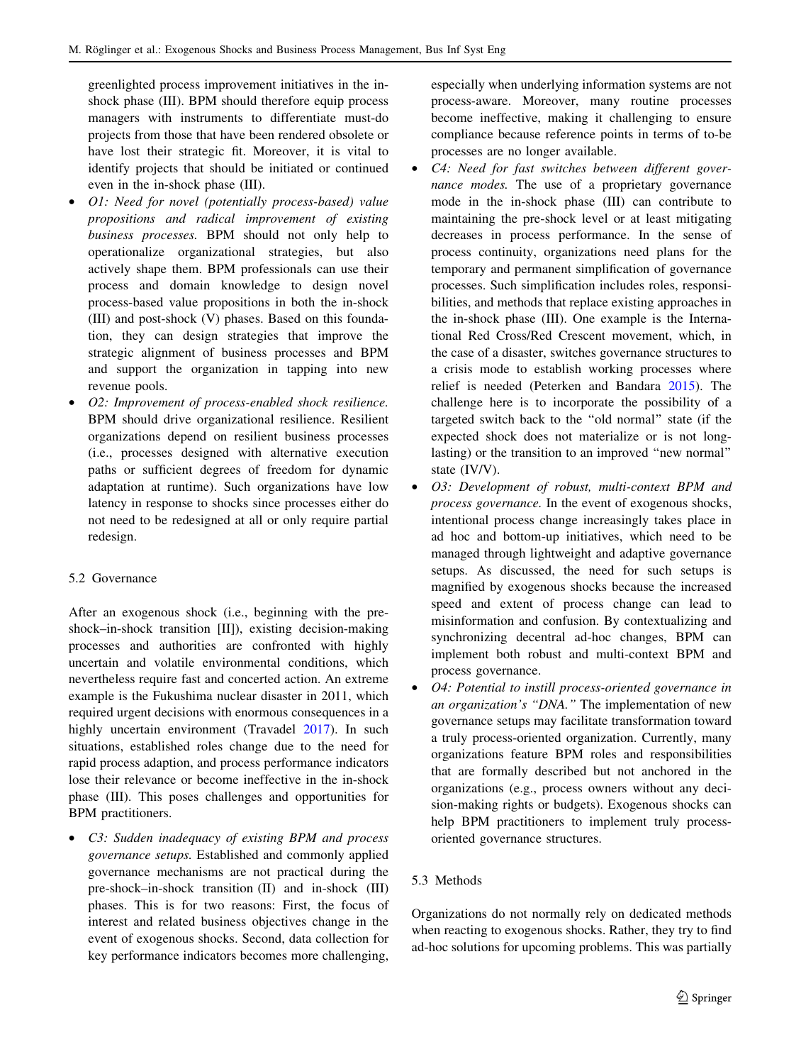greenlighted process improvement initiatives in the inshock phase (III). BPM should therefore equip process managers with instruments to differentiate must-do projects from those that have been rendered obsolete or have lost their strategic fit. Moreover, it is vital to identify projects that should be initiated or continued even in the in-shock phase (III).

- O1: Need for novel (potentially process-based) value propositions and radical improvement of existing business processes. BPM should not only help to operationalize organizational strategies, but also actively shape them. BPM professionals can use their process and domain knowledge to design novel process-based value propositions in both the in-shock (III) and post-shock (V) phases. Based on this foundation, they can design strategies that improve the strategic alignment of business processes and BPM and support the organization in tapping into new revenue pools.
- O2: Improvement of process-enabled shock resilience. BPM should drive organizational resilience. Resilient organizations depend on resilient business processes (i.e., processes designed with alternative execution paths or sufficient degrees of freedom for dynamic adaptation at runtime). Such organizations have low latency in response to shocks since processes either do not need to be redesigned at all or only require partial redesign.

# 5.2 Governance

After an exogenous shock (i.e., beginning with the preshock–in-shock transition [II]), existing decision-making processes and authorities are confronted with highly uncertain and volatile environmental conditions, which nevertheless require fast and concerted action. An extreme example is the Fukushima nuclear disaster in 2011, which required urgent decisions with enormous consequences in a highly uncertain environment (Travadel [2017\)](#page-17-0). In such situations, established roles change due to the need for rapid process adaption, and process performance indicators lose their relevance or become ineffective in the in-shock phase (III). This poses challenges and opportunities for BPM practitioners.

• C3: Sudden inadequacy of existing BPM and process governance setups. Established and commonly applied governance mechanisms are not practical during the pre-shock–in-shock transition (II) and in-shock (III) phases. This is for two reasons: First, the focus of interest and related business objectives change in the event of exogenous shocks. Second, data collection for key performance indicators becomes more challenging,

especially when underlying information systems are not process-aware. Moreover, many routine processes become ineffective, making it challenging to ensure compliance because reference points in terms of to-be processes are no longer available.

- C4: Need for fast switches between different governance modes. The use of a proprietary governance mode in the in-shock phase (III) can contribute to maintaining the pre-shock level or at least mitigating decreases in process performance. In the sense of process continuity, organizations need plans for the temporary and permanent simplification of governance processes. Such simplification includes roles, responsibilities, and methods that replace existing approaches in the in-shock phase (III). One example is the International Red Cross/Red Crescent movement, which, in the case of a disaster, switches governance structures to a crisis mode to establish working processes where relief is needed (Peterken and Bandara [2015](#page-16-0)). The challenge here is to incorporate the possibility of a targeted switch back to the ''old normal'' state (if the expected shock does not materialize or is not longlasting) or the transition to an improved ''new normal'' state (IV/V).
- O3: Development of robust, multi-context BPM and process governance. In the event of exogenous shocks, intentional process change increasingly takes place in ad hoc and bottom-up initiatives, which need to be managed through lightweight and adaptive governance setups. As discussed, the need for such setups is magnified by exogenous shocks because the increased speed and extent of process change can lead to misinformation and confusion. By contextualizing and synchronizing decentral ad-hoc changes, BPM can implement both robust and multi-context BPM and process governance.
- O4: Potential to instill process-oriented governance in an organization's "DNA." The implementation of new governance setups may facilitate transformation toward a truly process-oriented organization. Currently, many organizations feature BPM roles and responsibilities that are formally described but not anchored in the organizations (e.g., process owners without any decision-making rights or budgets). Exogenous shocks can help BPM practitioners to implement truly processoriented governance structures.

# 5.3 Methods

Organizations do not normally rely on dedicated methods when reacting to exogenous shocks. Rather, they try to find ad-hoc solutions for upcoming problems. This was partially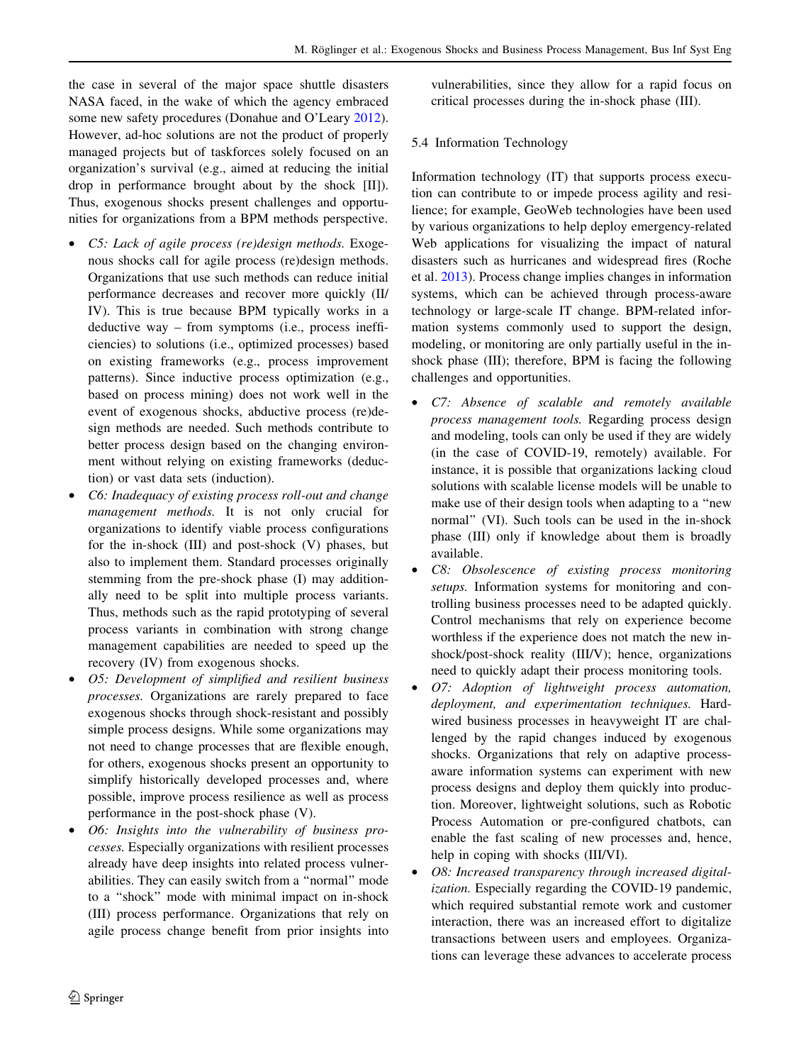the case in several of the major space shuttle disasters NASA faced, in the wake of which the agency embraced some new safety procedures (Donahue and O'Leary [2012](#page-15-0)). However, ad-hoc solutions are not the product of properly managed projects but of taskforces solely focused on an organization's survival (e.g., aimed at reducing the initial drop in performance brought about by the shock [II]). Thus, exogenous shocks present challenges and opportunities for organizations from a BPM methods perspective.

- *C5: Lack of agile process (re)design methods.* Exogenous shocks call for agile process (re)design methods. Organizations that use such methods can reduce initial performance decreases and recover more quickly (II/ IV). This is true because BPM typically works in a deductive way – from symptoms (i.e., process inefficiencies) to solutions (i.e., optimized processes) based on existing frameworks (e.g., process improvement patterns). Since inductive process optimization (e.g., based on process mining) does not work well in the event of exogenous shocks, abductive process (re)design methods are needed. Such methods contribute to better process design based on the changing environment without relying on existing frameworks (deduction) or vast data sets (induction).
- C6: Inadequacy of existing process roll-out and change management methods. It is not only crucial for organizations to identify viable process configurations for the in-shock (III) and post-shock (V) phases, but also to implement them. Standard processes originally stemming from the pre-shock phase (I) may additionally need to be split into multiple process variants. Thus, methods such as the rapid prototyping of several process variants in combination with strong change management capabilities are needed to speed up the recovery (IV) from exogenous shocks.
- O5: Development of simplified and resilient business processes. Organizations are rarely prepared to face exogenous shocks through shock-resistant and possibly simple process designs. While some organizations may not need to change processes that are flexible enough, for others, exogenous shocks present an opportunity to simplify historically developed processes and, where possible, improve process resilience as well as process performance in the post-shock phase (V).
- O6: Insights into the vulnerability of business processes. Especially organizations with resilient processes already have deep insights into related process vulnerabilities. They can easily switch from a ''normal'' mode to a ''shock'' mode with minimal impact on in-shock (III) process performance. Organizations that rely on agile process change benefit from prior insights into

vulnerabilities, since they allow for a rapid focus on critical processes during the in-shock phase (III).

### 5.4 Information Technology

Information technology (IT) that supports process execution can contribute to or impede process agility and resilience; for example, GeoWeb technologies have been used by various organizations to help deploy emergency-related Web applications for visualizing the impact of natural disasters such as hurricanes and widespread fires (Roche et al. [2013](#page-16-0)). Process change implies changes in information systems, which can be achieved through process-aware technology or large-scale IT change. BPM-related information systems commonly used to support the design, modeling, or monitoring are only partially useful in the inshock phase (III); therefore, BPM is facing the following challenges and opportunities.

- C7: Absence of scalable and remotely available process management tools. Regarding process design and modeling, tools can only be used if they are widely (in the case of COVID-19, remotely) available. For instance, it is possible that organizations lacking cloud solutions with scalable license models will be unable to make use of their design tools when adapting to a ''new normal'' (VI). Such tools can be used in the in-shock phase (III) only if knowledge about them is broadly available.
- C8: Obsolescence of existing process monitoring setups. Information systems for monitoring and controlling business processes need to be adapted quickly. Control mechanisms that rely on experience become worthless if the experience does not match the new inshock/post-shock reality (III/V); hence, organizations need to quickly adapt their process monitoring tools.
- O7: Adoption of lightweight process automation, deployment, and experimentation techniques. Hardwired business processes in heavyweight IT are challenged by the rapid changes induced by exogenous shocks. Organizations that rely on adaptive processaware information systems can experiment with new process designs and deploy them quickly into production. Moreover, lightweight solutions, such as Robotic Process Automation or pre-configured chatbots, can enable the fast scaling of new processes and, hence, help in coping with shocks (III/VI).
- O8: Increased transparency through increased digitalization. Especially regarding the COVID-19 pandemic, which required substantial remote work and customer interaction, there was an increased effort to digitalize transactions between users and employees. Organizations can leverage these advances to accelerate process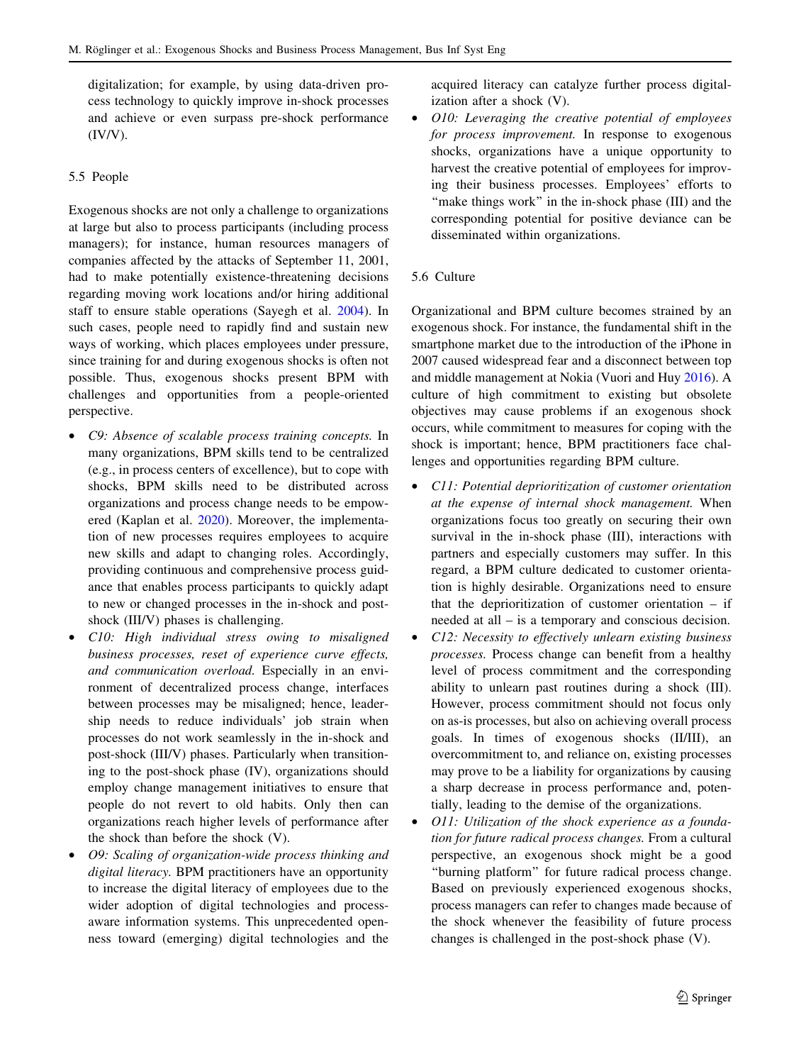digitalization; for example, by using data-driven process technology to quickly improve in-shock processes and achieve or even surpass pre-shock performance  $(IV/V)$ .

### 5.5 People

Exogenous shocks are not only a challenge to organizations at large but also to process participants (including process managers); for instance, human resources managers of companies affected by the attacks of September 11, 2001, had to make potentially existence-threatening decisions regarding moving work locations and/or hiring additional staff to ensure stable operations (Sayegh et al. [2004\)](#page-17-0). In such cases, people need to rapidly find and sustain new ways of working, which places employees under pressure, since training for and during exogenous shocks is often not possible. Thus, exogenous shocks present BPM with challenges and opportunities from a people-oriented perspective.

- C9: Absence of scalable process training concepts. In many organizations, BPM skills tend to be centralized (e.g., in process centers of excellence), but to cope with shocks, BPM skills need to be distributed across organizations and process change needs to be empowered (Kaplan et al. [2020](#page-15-0)). Moreover, the implementation of new processes requires employees to acquire new skills and adapt to changing roles. Accordingly, providing continuous and comprehensive process guidance that enables process participants to quickly adapt to new or changed processes in the in-shock and postshock (III/V) phases is challenging.
- C10: High individual stress owing to misaligned business processes, reset of experience curve effects, and communication overload. Especially in an environment of decentralized process change, interfaces between processes may be misaligned; hence, leadership needs to reduce individuals' job strain when processes do not work seamlessly in the in-shock and post-shock (III/V) phases. Particularly when transitioning to the post-shock phase (IV), organizations should employ change management initiatives to ensure that people do not revert to old habits. Only then can organizations reach higher levels of performance after the shock than before the shock (V).
- O9: Scaling of organization-wide process thinking and digital literacy. BPM practitioners have an opportunity to increase the digital literacy of employees due to the wider adoption of digital technologies and processaware information systems. This unprecedented openness toward (emerging) digital technologies and the

acquired literacy can catalyze further process digitalization after a shock (V).

- O10: Leveraging the creative potential of employees for process improvement. In response to exogenous shocks, organizations have a unique opportunity to harvest the creative potential of employees for improving their business processes. Employees' efforts to "make things work" in the in-shock phase (III) and the corresponding potential for positive deviance can be disseminated within organizations.
- 5.6 Culture

Organizational and BPM culture becomes strained by an exogenous shock. For instance, the fundamental shift in the smartphone market due to the introduction of the iPhone in 2007 caused widespread fear and a disconnect between top and middle management at Nokia (Vuori and Huy [2016\)](#page-17-0). A culture of high commitment to existing but obsolete objectives may cause problems if an exogenous shock occurs, while commitment to measures for coping with the shock is important; hence, BPM practitioners face challenges and opportunities regarding BPM culture.

- C11: Potential deprioritization of customer orientation at the expense of internal shock management. When organizations focus too greatly on securing their own survival in the in-shock phase (III), interactions with partners and especially customers may suffer. In this regard, a BPM culture dedicated to customer orientation is highly desirable. Organizations need to ensure that the deprioritization of customer orientation – if needed at all – is a temporary and conscious decision.
- C12: Necessity to effectively unlearn existing business processes. Process change can benefit from a healthy level of process commitment and the corresponding ability to unlearn past routines during a shock (III). However, process commitment should not focus only on as-is processes, but also on achieving overall process goals. In times of exogenous shocks (II/III), an overcommitment to, and reliance on, existing processes may prove to be a liability for organizations by causing a sharp decrease in process performance and, potentially, leading to the demise of the organizations.
- O11: Utilization of the shock experience as a foundation for future radical process changes. From a cultural perspective, an exogenous shock might be a good "burning platform" for future radical process change. Based on previously experienced exogenous shocks, process managers can refer to changes made because of the shock whenever the feasibility of future process changes is challenged in the post-shock phase (V).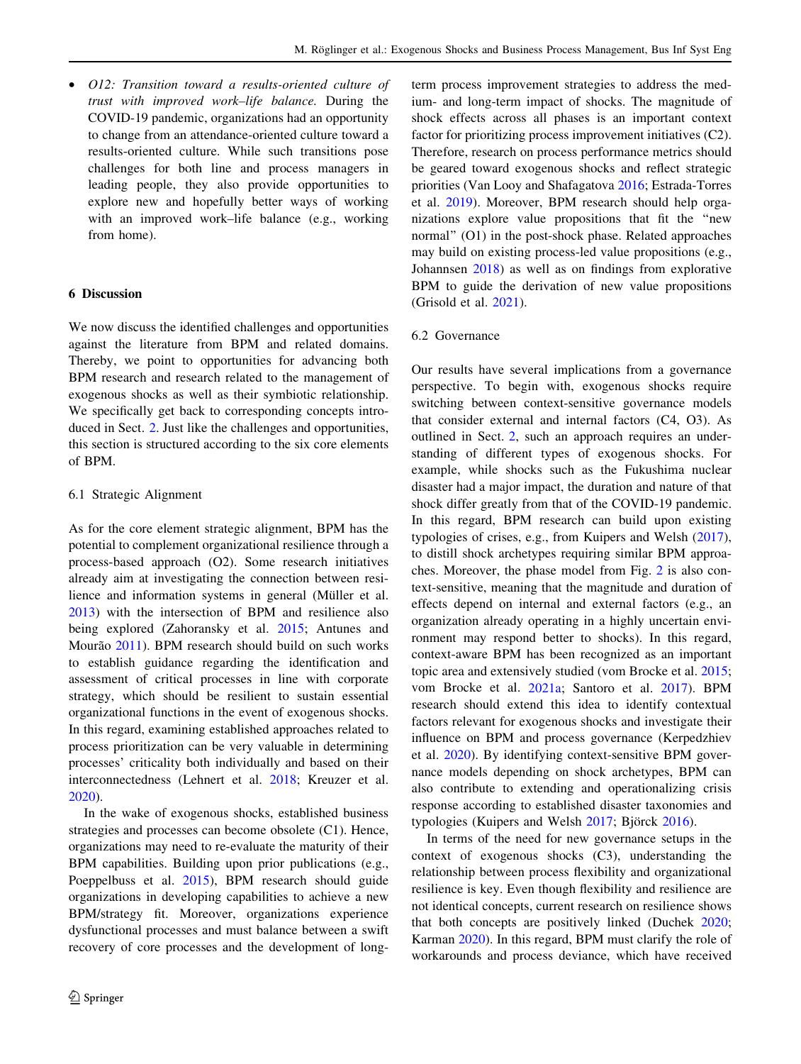<span id="page-11-0"></span>• O12: Transition toward a results-oriented culture of trust with improved work–life balance. During the COVID-19 pandemic, organizations had an opportunity to change from an attendance-oriented culture toward a results-oriented culture. While such transitions pose challenges for both line and process managers in leading people, they also provide opportunities to explore new and hopefully better ways of working with an improved work–life balance (e.g., working from home).

#### 6 Discussion

We now discuss the identified challenges and opportunities against the literature from BPM and related domains. Thereby, we point to opportunities for advancing both BPM research and research related to the management of exogenous shocks as well as their symbiotic relationship. We specifically get back to corresponding concepts introduced in Sect. [2.](#page-1-0) Just like the challenges and opportunities, this section is structured according to the six core elements of BPM.

#### 6.1 Strategic Alignment

As for the core element strategic alignment, BPM has the potential to complement organizational resilience through a process-based approach (O2). Some research initiatives already aim at investigating the connection between resilience and information systems in general (Müller et al. [2013\)](#page-16-0) with the intersection of BPM and resilience also being explored (Zahoransky et al. [2015](#page-18-0); Antunes and Mourão [2011\)](#page-14-0). BPM research should build on such works to establish guidance regarding the identification and assessment of critical processes in line with corporate strategy, which should be resilient to sustain essential organizational functions in the event of exogenous shocks. In this regard, examining established approaches related to process prioritization can be very valuable in determining processes' criticality both individually and based on their interconnectedness (Lehnert et al. [2018;](#page-16-0) Kreuzer et al. [2020\)](#page-16-0).

In the wake of exogenous shocks, established business strategies and processes can become obsolete (C1). Hence, organizations may need to re-evaluate the maturity of their BPM capabilities. Building upon prior publications (e.g., Poeppelbuss et al. [2015](#page-16-0)), BPM research should guide organizations in developing capabilities to achieve a new BPM/strategy fit. Moreover, organizations experience dysfunctional processes and must balance between a swift recovery of core processes and the development of longterm process improvement strategies to address the medium- and long-term impact of shocks. The magnitude of shock effects across all phases is an important context factor for prioritizing process improvement initiatives (C2). Therefore, research on process performance metrics should be geared toward exogenous shocks and reflect strategic priorities (Van Looy and Shafagatova [2016;](#page-17-0) Estrada-Torres et al. [2019\)](#page-15-0). Moreover, BPM research should help organizations explore value propositions that fit the ''new normal'' (O1) in the post-shock phase. Related approaches may build on existing process-led value propositions (e.g., Johannsen [2018\)](#page-15-0) as well as on findings from explorative BPM to guide the derivation of new value propositions (Grisold et al. [2021](#page-15-0)).

### 6.2 Governance

Our results have several implications from a governance perspective. To begin with, exogenous shocks require switching between context-sensitive governance models that consider external and internal factors (C4, O3). As outlined in Sect. [2](#page-1-0), such an approach requires an understanding of different types of exogenous shocks. For example, while shocks such as the Fukushima nuclear disaster had a major impact, the duration and nature of that shock differ greatly from that of the COVID-19 pandemic. In this regard, BPM research can build upon existing typologies of crises, e.g., from Kuipers and Welsh [\(2017](#page-16-0)), to distill shock archetypes requiring similar BPM approaches. Moreover, the phase model from Fig. [2](#page-6-0) is also context-sensitive, meaning that the magnitude and duration of effects depend on internal and external factors (e.g., an organization already operating in a highly uncertain environment may respond better to shocks). In this regard, context-aware BPM has been recognized as an important topic area and extensively studied (vom Brocke et al. [2015](#page-17-0); vom Brocke et al. [2021a](#page-17-0); Santoro et al. [2017\)](#page-17-0). BPM research should extend this idea to identify contextual factors relevant for exogenous shocks and investigate their influence on BPM and process governance (Kerpedzhiev et al. [2020](#page-15-0)). By identifying context-sensitive BPM governance models depending on shock archetypes, BPM can also contribute to extending and operationalizing crisis response according to established disaster taxonomies and typologies (Kuipers and Welsh [2017](#page-16-0); Björck [2016\)](#page-14-0).

In terms of the need for new governance setups in the context of exogenous shocks (C3), understanding the relationship between process flexibility and organizational resilience is key. Even though flexibility and resilience are not identical concepts, current research on resilience shows that both concepts are positively linked (Duchek [2020](#page-15-0); Karman [2020\)](#page-15-0). In this regard, BPM must clarify the role of workarounds and process deviance, which have received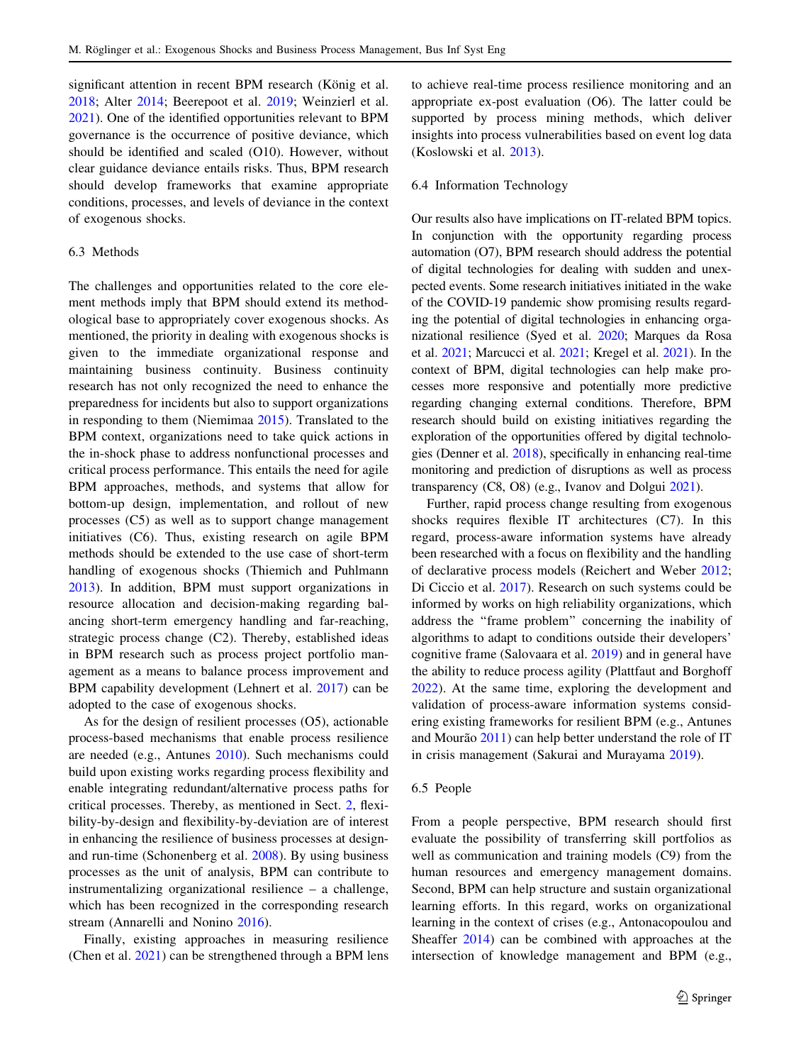significant attention in recent BPM research (König et al. [2018;](#page-16-0) Alter [2014;](#page-14-0) Beerepoot et al. [2019](#page-14-0); Weinzierl et al. [2021\)](#page-18-0). One of the identified opportunities relevant to BPM governance is the occurrence of positive deviance, which should be identified and scaled (O10). However, without clear guidance deviance entails risks. Thus, BPM research should develop frameworks that examine appropriate conditions, processes, and levels of deviance in the context of exogenous shocks.

### 6.3 Methods

The challenges and opportunities related to the core element methods imply that BPM should extend its methodological base to appropriately cover exogenous shocks. As mentioned, the priority in dealing with exogenous shocks is given to the immediate organizational response and maintaining business continuity. Business continuity research has not only recognized the need to enhance the preparedness for incidents but also to support organizations in responding to them (Niemimaa [2015\)](#page-16-0). Translated to the BPM context, organizations need to take quick actions in the in-shock phase to address nonfunctional processes and critical process performance. This entails the need for agile BPM approaches, methods, and systems that allow for bottom-up design, implementation, and rollout of new processes (C5) as well as to support change management initiatives (C6). Thus, existing research on agile BPM methods should be extended to the use case of short-term handling of exogenous shocks (Thiemich and Puhlmann [2013\)](#page-17-0). In addition, BPM must support organizations in resource allocation and decision-making regarding balancing short-term emergency handling and far-reaching, strategic process change (C2). Thereby, established ideas in BPM research such as process project portfolio management as a means to balance process improvement and BPM capability development (Lehnert et al. [2017\)](#page-16-0) can be adopted to the case of exogenous shocks.

As for the design of resilient processes (O5), actionable process-based mechanisms that enable process resilience are needed (e.g., Antunes [2010](#page-14-0)). Such mechanisms could build upon existing works regarding process flexibility and enable integrating redundant/alternative process paths for critical processes. Thereby, as mentioned in Sect. [2](#page-1-0), flexibility-by-design and flexibility-by-deviation are of interest in enhancing the resilience of business processes at designand run-time (Schonenberg et al. [2008](#page-17-0)). By using business processes as the unit of analysis, BPM can contribute to instrumentalizing organizational resilience – a challenge, which has been recognized in the corresponding research stream (Annarelli and Nonino [2016\)](#page-14-0).

Finally, existing approaches in measuring resilience (Chen et al. [2021](#page-15-0)) can be strengthened through a BPM lens to achieve real-time process resilience monitoring and an appropriate ex-post evaluation (O6). The latter could be supported by process mining methods, which deliver insights into process vulnerabilities based on event log data (Koslowski et al. [2013](#page-16-0)).

### 6.4 Information Technology

Our results also have implications on IT-related BPM topics. In conjunction with the opportunity regarding process automation (O7), BPM research should address the potential of digital technologies for dealing with sudden and unexpected events. Some research initiatives initiated in the wake of the COVID-19 pandemic show promising results regarding the potential of digital technologies in enhancing organizational resilience (Syed et al. [2020](#page-17-0); Marques da Rosa et al. [2021](#page-16-0); Marcucci et al. [2021](#page-16-0); Kregel et al. [2021\)](#page-16-0). In the context of BPM, digital technologies can help make processes more responsive and potentially more predictive regarding changing external conditions. Therefore, BPM research should build on existing initiatives regarding the exploration of the opportunities offered by digital technologies (Denner et al. [2018\)](#page-15-0), specifically in enhancing real-time monitoring and prediction of disruptions as well as process transparency (C8, O8) (e.g., Ivanov and Dolgui [2021\)](#page-15-0).

Further, rapid process change resulting from exogenous shocks requires flexible IT architectures (C7). In this regard, process-aware information systems have already been researched with a focus on flexibility and the handling of declarative process models (Reichert and Weber [2012](#page-16-0); Di Ciccio et al. [2017\)](#page-15-0). Research on such systems could be informed by works on high reliability organizations, which address the ''frame problem'' concerning the inability of algorithms to adapt to conditions outside their developers' cognitive frame (Salovaara et al. [2019\)](#page-17-0) and in general have the ability to reduce process agility (Plattfaut and Borghoff [2022](#page-16-0)). At the same time, exploring the development and validation of process-aware information systems considering existing frameworks for resilient BPM (e.g., Antunes and Mourão  $2011$ ) can help better understand the role of IT in crisis management (Sakurai and Murayama [2019\)](#page-17-0).

### 6.5 People

From a people perspective, BPM research should first evaluate the possibility of transferring skill portfolios as well as communication and training models (C9) from the human resources and emergency management domains. Second, BPM can help structure and sustain organizational learning efforts. In this regard, works on organizational learning in the context of crises (e.g., Antonacopoulou and Sheaffer [2014](#page-14-0)) can be combined with approaches at the intersection of knowledge management and BPM (e.g.,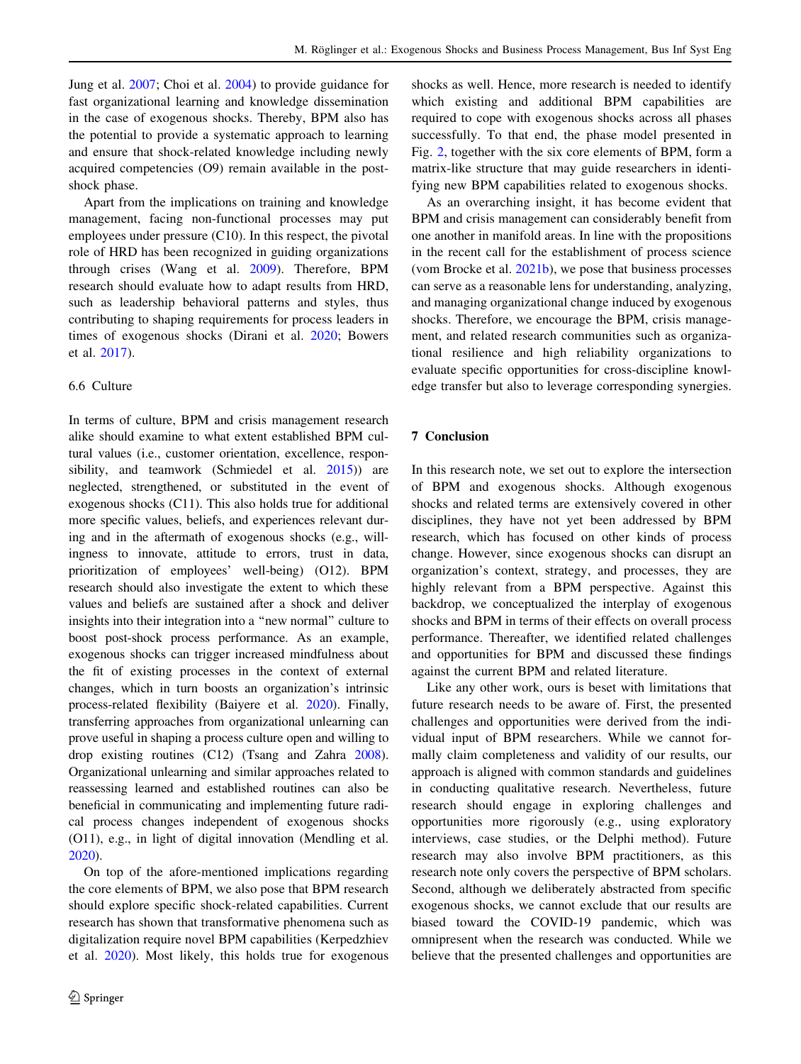<span id="page-13-0"></span>Jung et al. [2007;](#page-15-0) Choi et al. [2004](#page-15-0)) to provide guidance for fast organizational learning and knowledge dissemination in the case of exogenous shocks. Thereby, BPM also has the potential to provide a systematic approach to learning and ensure that shock-related knowledge including newly acquired competencies (O9) remain available in the postshock phase.

Apart from the implications on training and knowledge management, facing non-functional processes may put employees under pressure (C10). In this respect, the pivotal role of HRD has been recognized in guiding organizations through crises (Wang et al. [2009\)](#page-18-0). Therefore, BPM research should evaluate how to adapt results from HRD, such as leadership behavioral patterns and styles, thus contributing to shaping requirements for process leaders in times of exogenous shocks (Dirani et al. [2020;](#page-15-0) Bowers et al. [2017\)](#page-14-0).

### 6.6 Culture

In terms of culture, BPM and crisis management research alike should examine to what extent established BPM cultural values (i.e., customer orientation, excellence, respon-sibility, and teamwork (Schmiedel et al. [2015\)](#page-17-0)) are neglected, strengthened, or substituted in the event of exogenous shocks (C11). This also holds true for additional more specific values, beliefs, and experiences relevant during and in the aftermath of exogenous shocks (e.g., willingness to innovate, attitude to errors, trust in data, prioritization of employees' well-being) (O12). BPM research should also investigate the extent to which these values and beliefs are sustained after a shock and deliver insights into their integration into a ''new normal'' culture to boost post-shock process performance. As an example, exogenous shocks can trigger increased mindfulness about the fit of existing processes in the context of external changes, which in turn boosts an organization's intrinsic process-related flexibility (Baiyere et al. [2020](#page-14-0)). Finally, transferring approaches from organizational unlearning can prove useful in shaping a process culture open and willing to drop existing routines (C12) (Tsang and Zahra [2008](#page-17-0)). Organizational unlearning and similar approaches related to reassessing learned and established routines can also be beneficial in communicating and implementing future radical process changes independent of exogenous shocks (O11), e.g., in light of digital innovation (Mendling et al. [2020\)](#page-16-0).

On top of the afore-mentioned implications regarding the core elements of BPM, we also pose that BPM research should explore specific shock-related capabilities. Current research has shown that transformative phenomena such as digitalization require novel BPM capabilities (Kerpedzhiev et al. [2020\)](#page-15-0). Most likely, this holds true for exogenous shocks as well. Hence, more research is needed to identify which existing and additional BPM capabilities are required to cope with exogenous shocks across all phases successfully. To that end, the phase model presented in Fig. [2](#page-6-0), together with the six core elements of BPM, form a matrix-like structure that may guide researchers in identifying new BPM capabilities related to exogenous shocks.

As an overarching insight, it has become evident that BPM and crisis management can considerably benefit from one another in manifold areas. In line with the propositions in the recent call for the establishment of process science (vom Brocke et al. [2021b](#page-17-0)), we pose that business processes can serve as a reasonable lens for understanding, analyzing, and managing organizational change induced by exogenous shocks. Therefore, we encourage the BPM, crisis management, and related research communities such as organizational resilience and high reliability organizations to evaluate specific opportunities for cross-discipline knowledge transfer but also to leverage corresponding synergies.

### 7 Conclusion

In this research note, we set out to explore the intersection of BPM and exogenous shocks. Although exogenous shocks and related terms are extensively covered in other disciplines, they have not yet been addressed by BPM research, which has focused on other kinds of process change. However, since exogenous shocks can disrupt an organization's context, strategy, and processes, they are highly relevant from a BPM perspective. Against this backdrop, we conceptualized the interplay of exogenous shocks and BPM in terms of their effects on overall process performance. Thereafter, we identified related challenges and opportunities for BPM and discussed these findings against the current BPM and related literature.

Like any other work, ours is beset with limitations that future research needs to be aware of. First, the presented challenges and opportunities were derived from the individual input of BPM researchers. While we cannot formally claim completeness and validity of our results, our approach is aligned with common standards and guidelines in conducting qualitative research. Nevertheless, future research should engage in exploring challenges and opportunities more rigorously (e.g., using exploratory interviews, case studies, or the Delphi method). Future research may also involve BPM practitioners, as this research note only covers the perspective of BPM scholars. Second, although we deliberately abstracted from specific exogenous shocks, we cannot exclude that our results are biased toward the COVID-19 pandemic, which was omnipresent when the research was conducted. While we believe that the presented challenges and opportunities are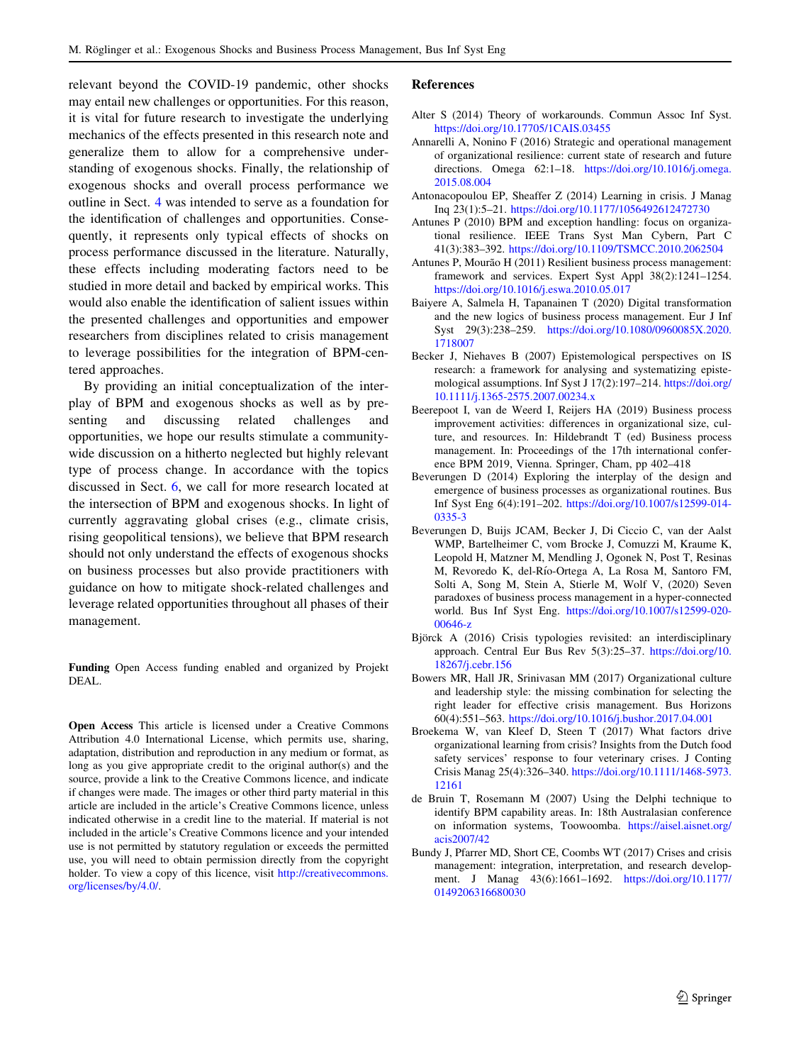<span id="page-14-0"></span>relevant beyond the COVID-19 pandemic, other shocks may entail new challenges or opportunities. For this reason, it is vital for future research to investigate the underlying mechanics of the effects presented in this research note and generalize them to allow for a comprehensive understanding of exogenous shocks. Finally, the relationship of exogenous shocks and overall process performance we outline in Sect. [4](#page-5-0) was intended to serve as a foundation for the identification of challenges and opportunities. Consequently, it represents only typical effects of shocks on process performance discussed in the literature. Naturally, these effects including moderating factors need to be studied in more detail and backed by empirical works. This would also enable the identification of salient issues within the presented challenges and opportunities and empower researchers from disciplines related to crisis management to leverage possibilities for the integration of BPM-centered approaches.

By providing an initial conceptualization of the interplay of BPM and exogenous shocks as well as by presenting and discussing related challenges and opportunities, we hope our results stimulate a communitywide discussion on a hitherto neglected but highly relevant type of process change. In accordance with the topics discussed in Sect. [6,](#page-11-0) we call for more research located at the intersection of BPM and exogenous shocks. In light of currently aggravating global crises (e.g., climate crisis, rising geopolitical tensions), we believe that BPM research should not only understand the effects of exogenous shocks on business processes but also provide practitioners with guidance on how to mitigate shock-related challenges and leverage related opportunities throughout all phases of their management.

Funding Open Access funding enabled and organized by Projekt DEAL.

Open Access This article is licensed under a Creative Commons Attribution 4.0 International License, which permits use, sharing, adaptation, distribution and reproduction in any medium or format, as long as you give appropriate credit to the original author(s) and the source, provide a link to the Creative Commons licence, and indicate if changes were made. The images or other third party material in this article are included in the article's Creative Commons licence, unless indicated otherwise in a credit line to the material. If material is not included in the article's Creative Commons licence and your intended use is not permitted by statutory regulation or exceeds the permitted use, you will need to obtain permission directly from the copyright holder. To view a copy of this licence, visit [http://creativecommons.](http://creativecommons.org/licenses/by/4.0/) [org/licenses/by/4.0/.](http://creativecommons.org/licenses/by/4.0/)

#### References

- Alter S (2014) Theory of workarounds. Commun Assoc Inf Syst. <https://doi.org/10.17705/1CAIS.03455>
- Annarelli A, Nonino F (2016) Strategic and operational management of organizational resilience: current state of research and future directions. Omega 62:1–18. [https://doi.org/10.1016/j.omega.](https://doi.org/10.1016/j.omega.2015.08.004) [2015.08.004](https://doi.org/10.1016/j.omega.2015.08.004)
- Antonacopoulou EP, Sheaffer Z (2014) Learning in crisis. J Manag Inq 23(1):5–21. <https://doi.org/10.1177/1056492612472730>
- Antunes P (2010) BPM and exception handling: focus on organizational resilience. IEEE Trans Syst Man Cybern, Part C 41(3):383–392. <https://doi.org/10.1109/TSMCC.2010.2062504>
- Antunes P, Mourão H (2011) Resilient business process management: framework and services. Expert Syst Appl 38(2):1241–1254. <https://doi.org/10.1016/j.eswa.2010.05.017>
- Baiyere A, Salmela H, Tapanainen T (2020) Digital transformation and the new logics of business process management. Eur J Inf Syst 29(3):238–259. [https://doi.org/10.1080/0960085X.2020.](https://doi.org/10.1080/0960085X.2020.1718007) [1718007](https://doi.org/10.1080/0960085X.2020.1718007)
- Becker J, Niehaves B (2007) Epistemological perspectives on IS research: a framework for analysing and systematizing epistemological assumptions. Inf Syst J 17(2):197–214. [https://doi.org/](https://doi.org/10.1111/j.1365-2575.2007.00234.x) [10.1111/j.1365-2575.2007.00234.x](https://doi.org/10.1111/j.1365-2575.2007.00234.x)
- Beerepoot I, van de Weerd I, Reijers HA (2019) Business process improvement activities: differences in organizational size, culture, and resources. In: Hildebrandt T (ed) Business process management. In: Proceedings of the 17th international conference BPM 2019, Vienna. Springer, Cham, pp 402–418
- Beverungen D (2014) Exploring the interplay of the design and emergence of business processes as organizational routines. Bus Inf Syst Eng 6(4):191–202. [https://doi.org/10.1007/s12599-014-](https://doi.org/10.1007/s12599-014-0335-3) [0335-3](https://doi.org/10.1007/s12599-014-0335-3)
- Beverungen D, Buijs JCAM, Becker J, Di Ciccio C, van der Aalst WMP, Bartelheimer C, vom Brocke J, Comuzzi M, Kraume K, Leopold H, Matzner M, Mendling J, Ogonek N, Post T, Resinas M, Revoredo K, del-Rı´o-Ortega A, La Rosa M, Santoro FM, Solti A, Song M, Stein A, Stierle M, Wolf V, (2020) Seven paradoxes of business process management in a hyper-connected world. Bus Inf Syst Eng. [https://doi.org/10.1007/s12599-020-](https://doi.org/10.1007/s12599-020-00646-z) [00646-z](https://doi.org/10.1007/s12599-020-00646-z)
- Björck A (2016) Crisis typologies revisited: an interdisciplinary approach. Central Eur Bus Rev 5(3):25–37. [https://doi.org/10.](https://doi.org/10.18267/j.cebr.156) [18267/j.cebr.156](https://doi.org/10.18267/j.cebr.156)
- Bowers MR, Hall JR, Srinivasan MM (2017) Organizational culture and leadership style: the missing combination for selecting the right leader for effective crisis management. Bus Horizons 60(4):551–563. <https://doi.org/10.1016/j.bushor.2017.04.001>
- Broekema W, van Kleef D, Steen T (2017) What factors drive organizational learning from crisis? Insights from the Dutch food safety services' response to four veterinary crises. J Conting Crisis Manag 25(4):326–340. [https://doi.org/10.1111/1468-5973.](https://doi.org/10.1111/1468-5973.12161) [12161](https://doi.org/10.1111/1468-5973.12161)
- de Bruin T, Rosemann M (2007) Using the Delphi technique to identify BPM capability areas. In: 18th Australasian conference on information systems, Toowoomba. [https://aisel.aisnet.org/](https://aisel.aisnet.org/acis2007/42) [acis2007/42](https://aisel.aisnet.org/acis2007/42)
- Bundy J, Pfarrer MD, Short CE, Coombs WT (2017) Crises and crisis management: integration, interpretation, and research development. J Manag 43(6):1661–1692. [https://doi.org/10.1177/](https://doi.org/10.1177/0149206316680030) [0149206316680030](https://doi.org/10.1177/0149206316680030)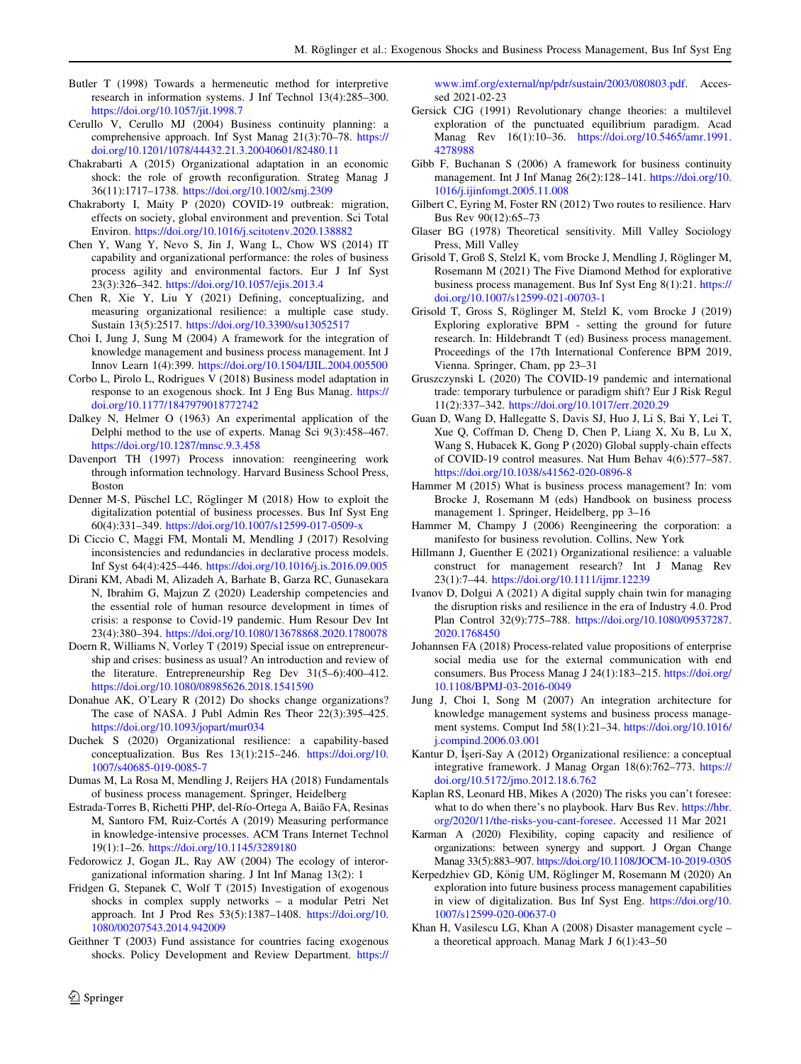- <span id="page-15-0"></span>Butler T (1998) Towards a hermeneutic method for interpretive research in information systems. J Inf Technol 13(4):285–300. <https://doi.org/10.1057/jit.1998.7>
- Cerullo V, Cerullo MJ (2004) Business continuity planning: a comprehensive approach. Inf Syst Manag 21(3):70–78. [https://](https://doi.org/10.1201/1078/44432.21.3.20040601/82480.11) [doi.org/10.1201/1078/44432.21.3.20040601/82480.11](https://doi.org/10.1201/1078/44432.21.3.20040601/82480.11)
- Chakrabarti A (2015) Organizational adaptation in an economic shock: the role of growth reconfiguration. Strateg Manag J 36(11):1717–1738. <https://doi.org/10.1002/smj.2309>
- Chakraborty I, Maity P (2020) COVID-19 outbreak: migration, effects on society, global environment and prevention. Sci Total Environ. <https://doi.org/10.1016/j.scitotenv.2020.138882>
- Chen Y, Wang Y, Nevo S, Jin J, Wang L, Chow WS (2014) IT capability and organizational performance: the roles of business process agility and environmental factors. Eur J Inf Syst 23(3):326–342. <https://doi.org/10.1057/ejis.2013.4>
- Chen R, Xie Y, Liu Y (2021) Defining, conceptualizing, and measuring organizational resilience: a multiple case study. Sustain 13(5):2517. <https://doi.org/10.3390/su13052517>
- Choi I, Jung J, Sung M (2004) A framework for the integration of knowledge management and business process management. Int J Innov Learn 1(4):399. <https://doi.org/10.1504/IJIL.2004.005500>
- Corbo L, Pirolo L, Rodrigues V (2018) Business model adaptation in response to an exogenous shock. Int J Eng Bus Manag. [https://](https://doi.org/10.1177/1847979018772742) [doi.org/10.1177/1847979018772742](https://doi.org/10.1177/1847979018772742)
- Dalkey N, Helmer O (1963) An experimental application of the Delphi method to the use of experts. Manag Sci 9(3):458–467. <https://doi.org/10.1287/mnsc.9.3.458>
- Davenport TH (1997) Process innovation: reengineering work through information technology. Harvard Business School Press, Boston
- Denner M-S, Püschel LC, Röglinger M (2018) How to exploit the digitalization potential of business processes. Bus Inf Syst Eng 60(4):331–349. <https://doi.org/10.1007/s12599-017-0509-x>
- Di Ciccio C, Maggi FM, Montali M, Mendling J (2017) Resolving inconsistencies and redundancies in declarative process models. Inf Syst 64(4):425–446. <https://doi.org/10.1016/j.is.2016.09.005>
- Dirani KM, Abadi M, Alizadeh A, Barhate B, Garza RC, Gunasekara N, Ibrahim G, Majzun Z (2020) Leadership competencies and the essential role of human resource development in times of crisis: a response to Covid-19 pandemic. Hum Resour Dev Int 23(4):380–394. <https://doi.org/10.1080/13678868.2020.1780078>
- Doern R, Williams N, Vorley T (2019) Special issue on entrepreneurship and crises: business as usual? An introduction and review of the literature. Entrepreneurship Reg Dev 31(5–6):400–412. <https://doi.org/10.1080/08985626.2018.1541590>
- Donahue AK, O'Leary R (2012) Do shocks change organizations? The case of NASA. J Publ Admin Res Theor 22(3):395–425. <https://doi.org/10.1093/jopart/mur034>
- Duchek S (2020) Organizational resilience: a capability-based conceptualization. Bus Res 13(1):215–246. [https://doi.org/10.](https://doi.org/10.1007/s40685-019-0085-7) [1007/s40685-019-0085-7](https://doi.org/10.1007/s40685-019-0085-7)
- Dumas M, La Rosa M, Mendling J, Reijers HA (2018) Fundamentals of business process management. Springer, Heidelberg
- Estrada-Torres B, Richetti PHP, del-Río-Ortega A, Baião FA, Resinas M, Santoro FM, Ruiz-Cortés A (2019) Measuring performance in knowledge-intensive processes. ACM Trans Internet Technol 19(1):1–26. <https://doi.org/10.1145/3289180>
- Fedorowicz J, Gogan JL, Ray AW (2004) The ecology of interorganizational information sharing. J Int Inf Manag 13(2): 1
- Fridgen G, Stepanek C, Wolf T (2015) Investigation of exogenous shocks in complex supply networks – a modular Petri Net approach. Int J Prod Res 53(5):1387–1408. [https://doi.org/10.](https://doi.org/10.1080/00207543.2014.942009) [1080/00207543.2014.942009](https://doi.org/10.1080/00207543.2014.942009)
- Geithner T (2003) Fund assistance for countries facing exogenous shocks. Policy Development and Review Department. [https://](https://www.imf.org/external/np/pdr/sustain/2003/080803.pdf)

[www.imf.org/external/np/pdr/sustain/2003/080803.pdf.](https://www.imf.org/external/np/pdr/sustain/2003/080803.pdf) Accessed 2021-02-23

- Gersick CJG (1991) Revolutionary change theories: a multilevel exploration of the punctuated equilibrium paradigm. Acad Manag Rev 16(1):10–36. [https://doi.org/10.5465/amr.1991.](https://doi.org/10.5465/amr.1991.4278988) [4278988](https://doi.org/10.5465/amr.1991.4278988)
- Gibb F, Buchanan S (2006) A framework for business continuity management. Int J Inf Manag 26(2):128–141. [https://doi.org/10.](https://doi.org/10.1016/j.ijinfomgt.2005.11.008) [1016/j.ijinfomgt.2005.11.008](https://doi.org/10.1016/j.ijinfomgt.2005.11.008)
- Gilbert C, Eyring M, Foster RN (2012) Two routes to resilience. Harv Bus Rev 90(12):65–73
- Glaser BG (1978) Theoretical sensitivity. Mill Valley Sociology Press, Mill Valley
- Grisold T, Groß S, Stelzl K, vom Brocke J, Mendling J, Röglinger M, Rosemann M (2021) The Five Diamond Method for explorative business process management. Bus Inf Syst Eng 8(1):21. [https://](https://doi.org/10.1007/s12599-021-00703-1) [doi.org/10.1007/s12599-021-00703-1](https://doi.org/10.1007/s12599-021-00703-1)
- Grisold T, Gross S, Röglinger M, Stelzl K, vom Brocke J (2019) Exploring explorative BPM - setting the ground for future research. In: Hildebrandt T (ed) Business process management. Proceedings of the 17th International Conference BPM 2019, Vienna. Springer, Cham, pp 23–31
- Gruszczynski L (2020) The COVID-19 pandemic and international trade: temporary turbulence or paradigm shift? Eur J Risk Regul 11(2):337–342. <https://doi.org/10.1017/err.2020.29>
- Guan D, Wang D, Hallegatte S, Davis SJ, Huo J, Li S, Bai Y, Lei T, Xue Q, Coffman D, Cheng D, Chen P, Liang X, Xu B, Lu X, Wang S, Hubacek K, Gong P (2020) Global supply-chain effects of COVID-19 control measures. Nat Hum Behav 4(6):577–587. <https://doi.org/10.1038/s41562-020-0896-8>
- Hammer M (2015) What is business process management? In: vom Brocke J, Rosemann M (eds) Handbook on business process management 1. Springer, Heidelberg, pp 3–16
- Hammer M, Champy J (2006) Reengineering the corporation: a manifesto for business revolution. Collins, New York
- Hillmann J, Guenther E (2021) Organizational resilience: a valuable construct for management research? Int J Manag Rev 23(1):7–44. <https://doi.org/10.1111/ijmr.12239>
- Ivanov D, Dolgui A (2021) A digital supply chain twin for managing the disruption risks and resilience in the era of Industry 4.0. Prod Plan Control 32(9):775–788. [https://doi.org/10.1080/09537287.](https://doi.org/10.1080/09537287.2020.1768450) [2020.1768450](https://doi.org/10.1080/09537287.2020.1768450)
- Johannsen FA (2018) Process-related value propositions of enterprise social media use for the external communication with end consumers. Bus Process Manag J 24(1):183–215. [https://doi.org/](https://doi.org/10.1108/BPMJ-03-2016-0049) [10.1108/BPMJ-03-2016-0049](https://doi.org/10.1108/BPMJ-03-2016-0049)
- Jung J, Choi I, Song M (2007) An integration architecture for knowledge management systems and business process management systems. Comput Ind 58(1):21–34. [https://doi.org/10.1016/](https://doi.org/10.1016/j.compind.2006.03.001) [j.compind.2006.03.001](https://doi.org/10.1016/j.compind.2006.03.001)
- Kantur D, İşeri-Say A (2012) Organizational resilience: a conceptual integrative framework. J Manag Organ 18(6):762–773. [https://](https://doi.org/10.5172/jmo.2012.18.6.762) [doi.org/10.5172/jmo.2012.18.6.762](https://doi.org/10.5172/jmo.2012.18.6.762)
- Kaplan RS, Leonard HB, Mikes A (2020) The risks you can't foresee: what to do when there's no playbook. Harv Bus Rev. [https://hbr.](https://hbr.org/2020/11/the-risks-you-cant-foresee) [org/2020/11/the-risks-you-cant-foresee](https://hbr.org/2020/11/the-risks-you-cant-foresee). Accessed 11 Mar 2021
- Karman A (2020) Flexibility, coping capacity and resilience of organizations: between synergy and support. J Organ Change Manag 33(5):883–907. <https://doi.org/10.1108/JOCM-10-2019-0305>
- Kerpedzhiev GD, König UM, Röglinger M, Rosemann M (2020) An exploration into future business process management capabilities in view of digitalization. Bus Inf Syst Eng. [https://doi.org/10.](https://doi.org/10.1007/s12599-020-00637-0) [1007/s12599-020-00637-0](https://doi.org/10.1007/s12599-020-00637-0)
- Khan H, Vasilescu LG, Khan A (2008) Disaster management cycle a theoretical approach. Manag Mark J 6(1):43–50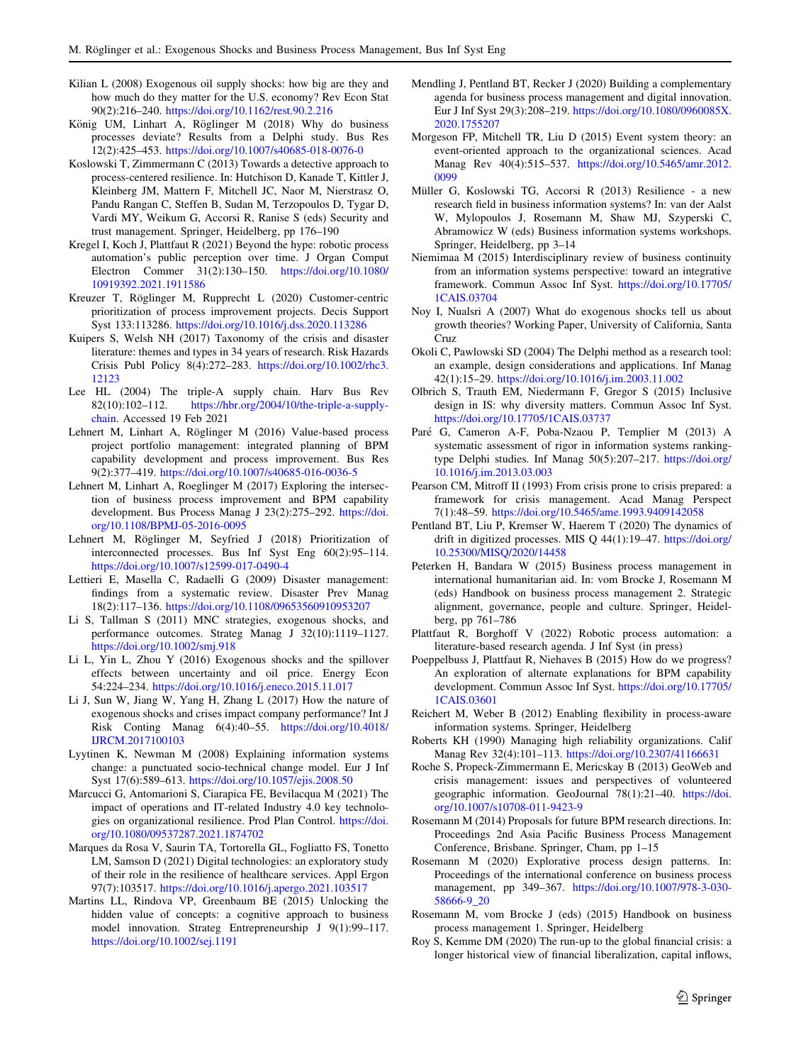- <span id="page-16-0"></span>Kilian L (2008) Exogenous oil supply shocks: how big are they and how much do they matter for the U.S. economy? Rev Econ Stat 90(2):216–240. <https://doi.org/10.1162/rest.90.2.216>
- König UM, Linhart A, Röglinger M (2018) Why do business processes deviate? Results from a Delphi study. Bus Res 12(2):425–453. <https://doi.org/10.1007/s40685-018-0076-0>
- Koslowski T, Zimmermann C (2013) Towards a detective approach to process-centered resilience. In: Hutchison D, Kanade T, Kittler J, Kleinberg JM, Mattern F, Mitchell JC, Naor M, Nierstrasz O, Pandu Rangan C, Steffen B, Sudan M, Terzopoulos D, Tygar D, Vardi MY, Weikum G, Accorsi R, Ranise S (eds) Security and trust management. Springer, Heidelberg, pp 176–190
- Kregel I, Koch J, Plattfaut R (2021) Beyond the hype: robotic process automation's public perception over time. J Organ Comput Electron Commer 31(2):130–150. [https://doi.org/10.1080/](https://doi.org/10.1080/10919392.2021.1911586) [10919392.2021.1911586](https://doi.org/10.1080/10919392.2021.1911586)
- Kreuzer T, Röglinger M, Rupprecht L (2020) Customer-centric prioritization of process improvement projects. Decis Support Syst 133:113286. <https://doi.org/10.1016/j.dss.2020.113286>
- Kuipers S, Welsh NH (2017) Taxonomy of the crisis and disaster literature: themes and types in 34 years of research. Risk Hazards Crisis Publ Policy 8(4):272–283. [https://doi.org/10.1002/rhc3.](https://doi.org/10.1002/rhc3.12123) [12123](https://doi.org/10.1002/rhc3.12123)
- Lee HL (2004) The triple-A supply chain. Harv Bus Rev 82(10):102–112. [https://hbr.org/2004/10/the-triple-a-supply](https://hbr.org/2004/10/the-triple-a-supply-chain)[chain](https://hbr.org/2004/10/the-triple-a-supply-chain). Accessed 19 Feb 2021
- Lehnert M, Linhart A, Röglinger M (2016) Value-based process project portfolio management: integrated planning of BPM capability development and process improvement. Bus Res 9(2):377–419. <https://doi.org/10.1007/s40685-016-0036-5>
- Lehnert M, Linhart A, Roeglinger M (2017) Exploring the intersection of business process improvement and BPM capability development. Bus Process Manag J 23(2):275–292. [https://doi.](https://doi.org/10.1108/BPMJ-05-2016-0095) [org/10.1108/BPMJ-05-2016-0095](https://doi.org/10.1108/BPMJ-05-2016-0095)
- Lehnert M, Röglinger M, Seyfried J (2018) Prioritization of interconnected processes. Bus Inf Syst Eng 60(2):95–114. <https://doi.org/10.1007/s12599-017-0490-4>
- Lettieri E, Masella C, Radaelli G (2009) Disaster management: findings from a systematic review. Disaster Prev Manag 18(2):117–136. <https://doi.org/10.1108/09653560910953207>
- Li S, Tallman S (2011) MNC strategies, exogenous shocks, and performance outcomes. Strateg Manag J 32(10):1119–1127. <https://doi.org/10.1002/smj.918>
- Li L, Yin L, Zhou Y (2016) Exogenous shocks and the spillover effects between uncertainty and oil price. Energy Econ 54:224–234. <https://doi.org/10.1016/j.eneco.2015.11.017>
- Li J, Sun W, Jiang W, Yang H, Zhang L (2017) How the nature of exogenous shocks and crises impact company performance? Int J Risk Conting Manag 6(4):40–55. [https://doi.org/10.4018/](https://doi.org/10.4018/IJRCM.2017100103) [IJRCM.2017100103](https://doi.org/10.4018/IJRCM.2017100103)
- Lyytinen K, Newman M (2008) Explaining information systems change: a punctuated socio-technical change model. Eur J Inf Syst 17(6):589–613. <https://doi.org/10.1057/ejis.2008.50>
- Marcucci G, Antomarioni S, Ciarapica FE, Bevilacqua M (2021) The impact of operations and IT-related Industry 4.0 key technologies on organizational resilience. Prod Plan Control. [https://doi.](https://doi.org/10.1080/09537287.2021.1874702) [org/10.1080/09537287.2021.1874702](https://doi.org/10.1080/09537287.2021.1874702)
- Marques da Rosa V, Saurin TA, Tortorella GL, Fogliatto FS, Tonetto LM, Samson D (2021) Digital technologies: an exploratory study of their role in the resilience of healthcare services. Appl Ergon 97(7):103517. <https://doi.org/10.1016/j.apergo.2021.103517>
- Martins LL, Rindova VP, Greenbaum BE (2015) Unlocking the hidden value of concepts: a cognitive approach to business model innovation. Strateg Entrepreneurship J 9(1):99–117. <https://doi.org/10.1002/sej.1191>
- Mendling J, Pentland BT, Recker J (2020) Building a complementary agenda for business process management and digital innovation. Eur J Inf Syst 29(3):208–219. [https://doi.org/10.1080/0960085X.](https://doi.org/10.1080/0960085X.2020.1755207) [2020.1755207](https://doi.org/10.1080/0960085X.2020.1755207)
- Morgeson FP, Mitchell TR, Liu D (2015) Event system theory: an event-oriented approach to the organizational sciences. Acad Manag Rev 40(4):515–537. [https://doi.org/10.5465/amr.2012.](https://doi.org/10.5465/amr.2012.0099) [0099](https://doi.org/10.5465/amr.2012.0099)
- Müller G, Koslowski TG, Accorsi R (2013) Resilience a new research field in business information systems? In: van der Aalst W, Mylopoulos J, Rosemann M, Shaw MJ, Szyperski C, Abramowicz W (eds) Business information systems workshops. Springer, Heidelberg, pp 3–14
- Niemimaa M (2015) Interdisciplinary review of business continuity from an information systems perspective: toward an integrative framework. Commun Assoc Inf Syst. [https://doi.org/10.17705/](https://doi.org/10.17705/1CAIS.03704) [1CAIS.03704](https://doi.org/10.17705/1CAIS.03704)
- Noy I, Nualsri A (2007) What do exogenous shocks tell us about growth theories? Working Paper, University of California, Santa Cruz
- Okoli C, Pawlowski SD (2004) The Delphi method as a research tool: an example, design considerations and applications. Inf Manag 42(1):15–29. <https://doi.org/10.1016/j.im.2003.11.002>
- Olbrich S, Trauth EM, Niedermann F, Gregor S (2015) Inclusive design in IS: why diversity matters. Commun Assoc Inf Syst. <https://doi.org/10.17705/1CAIS.03737>
- Paré G, Cameron A-F, Poba-Nzaou P, Templier M (2013) A systematic assessment of rigor in information systems rankingtype Delphi studies. Inf Manag 50(5):207–217. [https://doi.org/](https://doi.org/10.1016/j.im.2013.03.003) [10.1016/j.im.2013.03.003](https://doi.org/10.1016/j.im.2013.03.003)
- Pearson CM, Mitroff II (1993) From crisis prone to crisis prepared: a framework for crisis management. Acad Manag Perspect 7(1):48–59. <https://doi.org/10.5465/ame.1993.9409142058>
- Pentland BT, Liu P, Kremser W, Haerem T (2020) The dynamics of drift in digitized processes. MIS Q 44(1):19–47. [https://doi.org/](https://doi.org/10.25300/MISQ/2020/14458) [10.25300/MISQ/2020/14458](https://doi.org/10.25300/MISQ/2020/14458)
- Peterken H, Bandara W (2015) Business process management in international humanitarian aid. In: vom Brocke J, Rosemann M (eds) Handbook on business process management 2. Strategic alignment, governance, people and culture. Springer, Heidelberg, pp 761–786
- Plattfaut R, Borghoff V (2022) Robotic process automation: a literature-based research agenda. J Inf Syst (in press)
- Poeppelbuss J, Plattfaut R, Niehaves B (2015) How do we progress? An exploration of alternate explanations for BPM capability development. Commun Assoc Inf Syst. [https://doi.org/10.17705/](https://doi.org/10.17705/1CAIS.03601) [1CAIS.03601](https://doi.org/10.17705/1CAIS.03601)
- Reichert M, Weber B (2012) Enabling flexibility in process-aware information systems. Springer, Heidelberg
- Roberts KH (1990) Managing high reliability organizations. Calif Manag Rev 32(4):101–113. <https://doi.org/10.2307/41166631>
- Roche S, Propeck-Zimmermann E, Mericskay B (2013) GeoWeb and crisis management: issues and perspectives of volunteered geographic information. GeoJournal 78(1):21–40. [https://doi.](https://doi.org/10.1007/s10708-011-9423-9) [org/10.1007/s10708-011-9423-9](https://doi.org/10.1007/s10708-011-9423-9)
- Rosemann M (2014) Proposals for future BPM research directions. In: Proceedings 2nd Asia Pacific Business Process Management Conference, Brisbane. Springer, Cham, pp 1–15
- Rosemann M (2020) Explorative process design patterns. In: Proceedings of the international conference on business process management, pp 349–367. [https://doi.org/10.1007/978-3-030-](https://doi.org/10.1007/978-3-030-58666-9_20) [58666-9\\_20](https://doi.org/10.1007/978-3-030-58666-9_20)
- Rosemann M, vom Brocke J (eds) (2015) Handbook on business process management 1. Springer, Heidelberg
- Roy S, Kemme DM (2020) The run-up to the global financial crisis: a longer historical view of financial liberalization, capital inflows,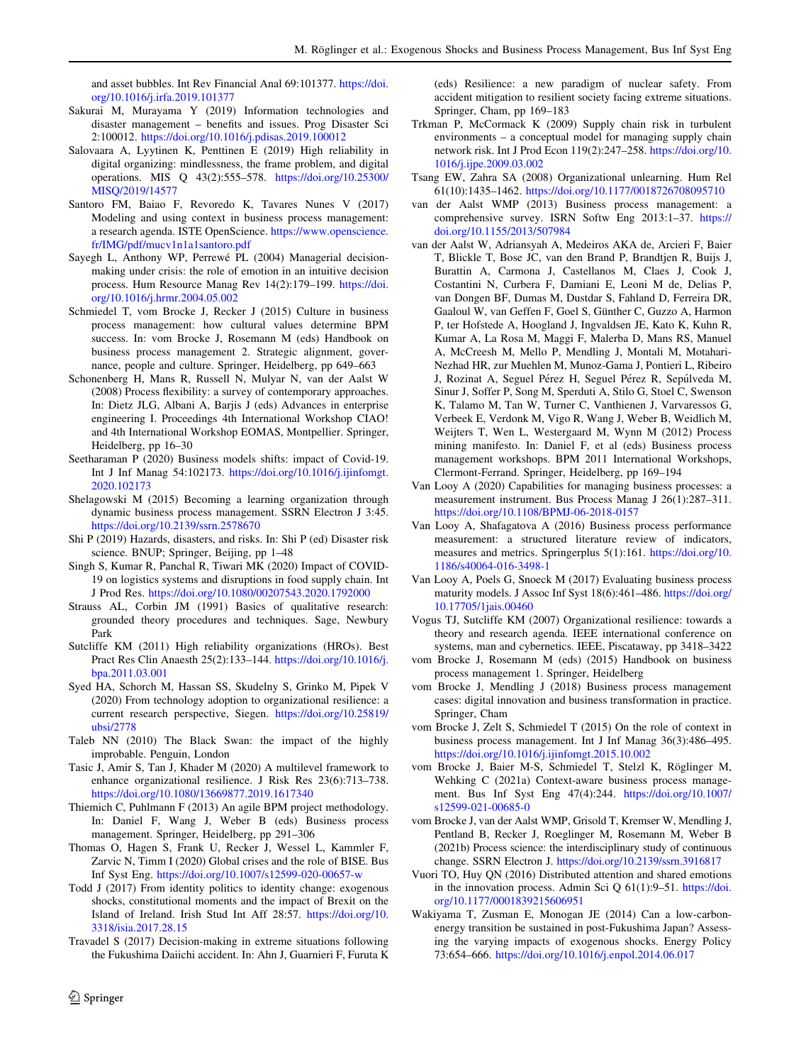<span id="page-17-0"></span>and asset bubbles. Int Rev Financial Anal 69:101377. [https://doi.](https://doi.org/10.1016/j.irfa.2019.101377) [org/10.1016/j.irfa.2019.101377](https://doi.org/10.1016/j.irfa.2019.101377)

- Sakurai M, Murayama Y (2019) Information technologies and disaster management – benefits and issues. Prog Disaster Sci 2:100012. <https://doi.org/10.1016/j.pdisas.2019.100012>
- Salovaara A, Lyytinen K, Penttinen E (2019) High reliability in digital organizing: mindlessness, the frame problem, and digital operations. MIS Q 43(2):555–578. [https://doi.org/10.25300/](https://doi.org/10.25300/MISQ/2019/14577) [MISQ/2019/14577](https://doi.org/10.25300/MISQ/2019/14577)
- Santoro FM, Baiao F, Revoredo K, Tavares Nunes V (2017) Modeling and using context in business process management: a research agenda. ISTE OpenScience. [https://www.openscience.](https://www.openscience.fr/IMG/pdf/mucv1n1a1santoro.pdf) [fr/IMG/pdf/mucv1n1a1santoro.pdf](https://www.openscience.fr/IMG/pdf/mucv1n1a1santoro.pdf)
- Sayegh L, Anthony WP, Perrewé PL (2004) Managerial decisionmaking under crisis: the role of emotion in an intuitive decision process. Hum Resource Manag Rev 14(2):179–199. [https://doi.](https://doi.org/10.1016/j.hrmr.2004.05.002) [org/10.1016/j.hrmr.2004.05.002](https://doi.org/10.1016/j.hrmr.2004.05.002)
- Schmiedel T, vom Brocke J, Recker J (2015) Culture in business process management: how cultural values determine BPM success. In: vom Brocke J, Rosemann M (eds) Handbook on business process management 2. Strategic alignment, governance, people and culture. Springer, Heidelberg, pp 649–663
- Schonenberg H, Mans R, Russell N, Mulyar N, van der Aalst W (2008) Process flexibility: a survey of contemporary approaches. In: Dietz JLG, Albani A, Barjis J (eds) Advances in enterprise engineering I. Proceedings 4th International Workshop CIAO! and 4th International Workshop EOMAS, Montpellier. Springer, Heidelberg, pp 16–30
- Seetharaman P (2020) Business models shifts: impact of Covid-19. Int J Inf Manag 54:102173. [https://doi.org/10.1016/j.ijinfomgt.](https://doi.org/10.1016/j.ijinfomgt.2020.102173) [2020.102173](https://doi.org/10.1016/j.ijinfomgt.2020.102173)
- Shelagowski M (2015) Becoming a learning organization through dynamic business process management. SSRN Electron J 3:45. <https://doi.org/10.2139/ssrn.2578670>
- Shi P (2019) Hazards, disasters, and risks. In: Shi P (ed) Disaster risk science. BNUP; Springer, Beijing, pp 1–48
- Singh S, Kumar R, Panchal R, Tiwari MK (2020) Impact of COVID-19 on logistics systems and disruptions in food supply chain. Int J Prod Res. <https://doi.org/10.1080/00207543.2020.1792000>
- Strauss AL, Corbin JM (1991) Basics of qualitative research: grounded theory procedures and techniques. Sage, Newbury Park
- Sutcliffe KM (2011) High reliability organizations (HROs). Best Pract Res Clin Anaesth 25(2):133–144. [https://doi.org/10.1016/j.](https://doi.org/10.1016/j.bpa.2011.03.001) [bpa.2011.03.001](https://doi.org/10.1016/j.bpa.2011.03.001)
- Syed HA, Schorch M, Hassan SS, Skudelny S, Grinko M, Pipek V (2020) From technology adoption to organizational resilience: a current research perspective, Siegen. [https://doi.org/10.25819/](https://doi.org/10.25819/ubsi/2778) [ubsi/2778](https://doi.org/10.25819/ubsi/2778)
- Taleb NN (2010) The Black Swan: the impact of the highly improbable. Penguin, London
- Tasic J, Amir S, Tan J, Khader M (2020) A multilevel framework to enhance organizational resilience. J Risk Res 23(6):713–738. <https://doi.org/10.1080/13669877.2019.1617340>
- Thiemich C, Puhlmann F (2013) An agile BPM project methodology. In: Daniel F, Wang J, Weber B (eds) Business process management. Springer, Heidelberg, pp 291–306
- Thomas O, Hagen S, Frank U, Recker J, Wessel L, Kammler F, Zarvic N, Timm I (2020) Global crises and the role of BISE. Bus Inf Syst Eng. <https://doi.org/10.1007/s12599-020-00657-w>
- Todd J (2017) From identity politics to identity change: exogenous shocks, constitutional moments and the impact of Brexit on the Island of Ireland. Irish Stud Int Aff 28:57. [https://doi.org/10.](https://doi.org/10.3318/isia.2017.28.15) [3318/isia.2017.28.15](https://doi.org/10.3318/isia.2017.28.15)
- Travadel S (2017) Decision-making in extreme situations following the Fukushima Daiichi accident. In: Ahn J, Guarnieri F, Furuta K

(eds) Resilience: a new paradigm of nuclear safety. From accident mitigation to resilient society facing extreme situations. Springer, Cham, pp 169–183

- Trkman P, McCormack K (2009) Supply chain risk in turbulent environments – a conceptual model for managing supply chain network risk. Int J Prod Econ 119(2):247–258. [https://doi.org/10.](https://doi.org/10.1016/j.ijpe.2009.03.002) [1016/j.ijpe.2009.03.002](https://doi.org/10.1016/j.ijpe.2009.03.002)
- Tsang EW, Zahra SA (2008) Organizational unlearning. Hum Rel 61(10):1435–1462. <https://doi.org/10.1177/0018726708095710>
- van der Aalst WMP (2013) Business process management: a comprehensive survey. ISRN Softw Eng 2013:1–37. [https://](https://doi.org/10.1155/2013/507984) [doi.org/10.1155/2013/507984](https://doi.org/10.1155/2013/507984)
- van der Aalst W, Adriansyah A, Medeiros AKA de, Arcieri F, Baier T, Blickle T, Bose JC, van den Brand P, Brandtjen R, Buijs J, Burattin A, Carmona J, Castellanos M, Claes J, Cook J, Costantini N, Curbera F, Damiani E, Leoni M de, Delias P, van Dongen BF, Dumas M, Dustdar S, Fahland D, Ferreira DR, Gaaloul W, van Geffen F, Goel S, Günther C, Guzzo A, Harmon P, ter Hofstede A, Hoogland J, Ingvaldsen JE, Kato K, Kuhn R, Kumar A, La Rosa M, Maggi F, Malerba D, Mans RS, Manuel A, McCreesh M, Mello P, Mendling J, Montali M, Motahari-Nezhad HR, zur Muehlen M, Munoz-Gama J, Pontieri L, Ribeiro J, Rozinat A, Seguel Pérez H, Seguel Pérez R, Sepúlveda M, Sinur J, Soffer P, Song M, Sperduti A, Stilo G, Stoel C, Swenson K, Talamo M, Tan W, Turner C, Vanthienen J, Varvaressos G, Verbeek E, Verdonk M, Vigo R, Wang J, Weber B, Weidlich M, Weijters T, Wen L, Westergaard M, Wynn M (2012) Process mining manifesto. In: Daniel F, et al (eds) Business process management workshops. BPM 2011 International Workshops, Clermont-Ferrand. Springer, Heidelberg, pp 169–194
- Van Looy A (2020) Capabilities for managing business processes: a measurement instrument. Bus Process Manag J 26(1):287–311. <https://doi.org/10.1108/BPMJ-06-2018-0157>
- Van Looy A, Shafagatova A (2016) Business process performance measurement: a structured literature review of indicators, measures and metrics. Springerplus 5(1):161. [https://doi.org/10.](https://doi.org/10.1186/s40064-016-3498-1) [1186/s40064-016-3498-1](https://doi.org/10.1186/s40064-016-3498-1)
- Van Looy A, Poels G, Snoeck M (2017) Evaluating business process maturity models. J Assoc Inf Syst 18(6):461–486. [https://doi.org/](https://doi.org/10.17705/1jais.00460) [10.17705/1jais.00460](https://doi.org/10.17705/1jais.00460)
- Vogus TJ, Sutcliffe KM (2007) Organizational resilience: towards a theory and research agenda. IEEE international conference on systems, man and cybernetics. IEEE, Piscataway, pp 3418–3422
- vom Brocke J, Rosemann M (eds) (2015) Handbook on business process management 1. Springer, Heidelberg
- vom Brocke J, Mendling J (2018) Business process management cases: digital innovation and business transformation in practice. Springer, Cham
- vom Brocke J, Zelt S, Schmiedel T (2015) On the role of context in business process management. Int J Inf Manag 36(3):486–495. <https://doi.org/10.1016/j.ijinfomgt.2015.10.002>
- vom Brocke J, Baier M-S, Schmiedel T, Stelzl K, Röglinger M, Wehking C (2021a) Context-aware business process management. Bus Inf Syst Eng 47(4):244. [https://doi.org/10.1007/](https://doi.org/10.1007/s12599-021-00685-0) [s12599-021-00685-0](https://doi.org/10.1007/s12599-021-00685-0)
- vom Brocke J, van der Aalst WMP, Grisold T, Kremser W, Mendling J, Pentland B, Recker J, Roeglinger M, Rosemann M, Weber B (2021b) Process science: the interdisciplinary study of continuous change. SSRN Electron J. <https://doi.org/10.2139/ssrn.3916817>
- Vuori TO, Huy QN (2016) Distributed attention and shared emotions in the innovation process. Admin Sci Q 61(1):9–51. [https://doi.](https://doi.org/10.1177/0001839215606951) [org/10.1177/0001839215606951](https://doi.org/10.1177/0001839215606951)
- Wakiyama T, Zusman E, Monogan JE (2014) Can a low-carbonenergy transition be sustained in post-Fukushima Japan? Assessing the varying impacts of exogenous shocks. Energy Policy 73:654–666. <https://doi.org/10.1016/j.enpol.2014.06.017>